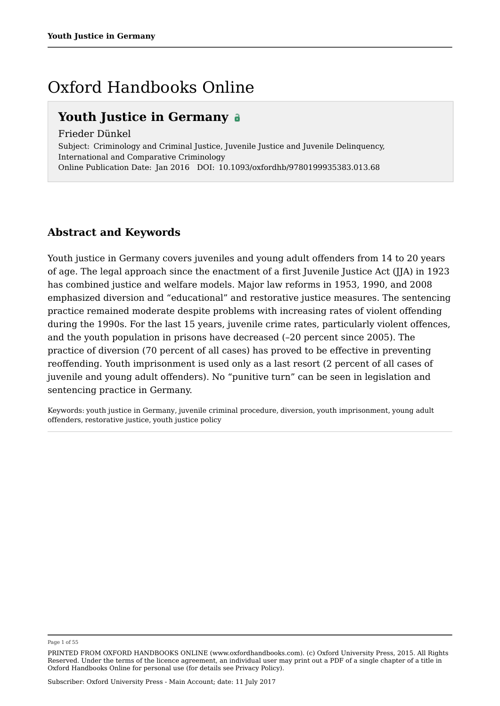## Oxford Handbooks Online

## **Youth Justice in Germany**

Frieder Dünkel Subject: Criminology and Criminal Justice, Juvenile Justice and Juvenile Delinquency, International and Comparative Criminology

Online Publication Date: Jan 2016 DOI: 10.1093/oxfordhb/9780199935383.013.68

## **Abstract and Keywords**

Youth justice in Germany covers juveniles and young adult offenders from 14 to 20 years of age. The legal approach since the enactment of a first Juvenile Justice Act (JJA) in 1923 has combined justice and welfare models. Major law reforms in 1953, 1990, and 2008 emphasized diversion and "educational" and restorative justice measures. The sentencing practice remained moderate despite problems with increasing rates of violent offending during the 1990s. For the last 15 years, juvenile crime rates, particularly violent offences, and the youth population in prisons have decreased (–20 percent since 2005). The practice of diversion (70 percent of all cases) has proved to be effective in preventing reoffending. Youth imprisonment is used only as a last resort (2 percent of all cases of juvenile and young adult offenders). No "punitive turn" can be seen in legislation and sentencing practice in Germany.

Keywords: youth justice in Germany, juvenile criminal procedure, diversion, youth imprisonment, young adult offenders, restorative justice, youth justice policy

Page 1 of 55

PRINTED FROM OXFORD HANDBOOKS ONLINE (www.oxfordhandbooks.com). (c) Oxford University Press, 2015. All Rights Reserved. Under the terms of the licence agreement, an individual user may print out a PDF of a single chapter of a title in Oxford Handbooks Online for personal use (for details see Privacy Policy).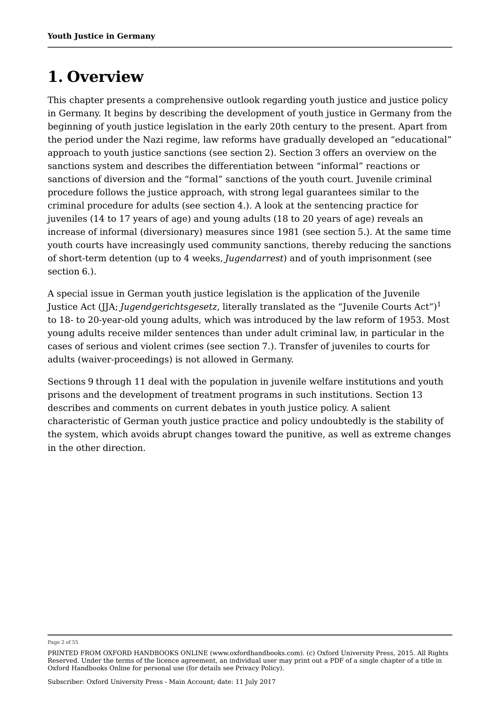# **1. Overview**

This chapter presents a comprehensive outlook regarding youth justice and justice policy in Germany. It begins by describing the development of youth justice in Germany from the beginning of youth justice legislation in the early 20th century to the present. Apart from the period under the Nazi regime, law reforms have gradually developed an "educational" approach to youth justice sanctions (see section 2). Section 3 offers an overview on the sanctions system and describes the differentiation between "informal" reactions or sanctions of diversion and the "formal" sanctions of the youth court. Juvenile criminal procedure follows the justice approach, with strong legal guarantees similar to the criminal procedure for adults (see section 4.). A look at the sentencing practice for juveniles (14 to 17 years of age) and young adults (18 to 20 years of age) reveals an increase of informal (diversionary) measures since 1981 (see section 5.). At the same time youth courts have increasingly used community sanctions, thereby reducing the sanctions of short-term detention (up to 4 weeks, *Jugendarrest*) and of youth imprisonment (see section 6.).

A special issue in German youth justice legislation is the application of the Juvenile Justice Act (JJA; *Jugendgerichtsgesetz*, literally translated as the "Juvenile Courts Act") 1to 18- to 20-year-old young adults, which was introduced by the law reform of 1953. Most young adults receive milder sentences than under adult criminal law, in particular in the cases of serious and violent crimes (see section 7.). Transfer of juveniles to courts for adults (waiver-proceedings) is not allowed in Germany.

Sections 9 through 11 deal with the population in juvenile welfare institutions and youth prisons and the development of treatment programs in such institutions. Section 13 describes and comments on current debates in youth justice policy. A salient characteristic of German youth justice practice and policy undoubtedly is the stability of the system, which avoids abrupt changes toward the punitive, as well as extreme changes in the other direction.

Page 2 of 55

PRINTED FROM OXFORD HANDBOOKS ONLINE (www.oxfordhandbooks.com). (c) Oxford University Press, 2015. All Rights Reserved. Under the terms of the licence agreement, an individual user may print out a PDF of a single chapter of a title in Oxford Handbooks Online for personal use (for details see Privacy Policy).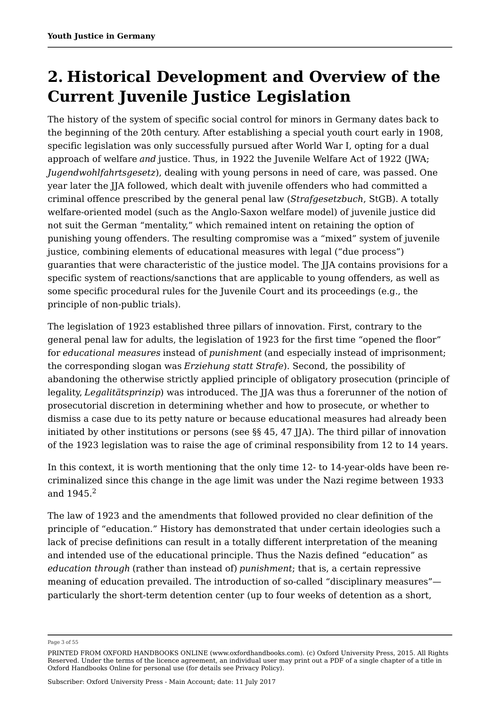# **2. Historical Development and Overview of the Current Juvenile Justice Legislation**

The history of the system of specific social control for minors in Germany dates back to the beginning of the 20th century. After establishing a special youth court early in 1908, specific legislation was only successfully pursued after World War I, opting for a dual approach of welfare *and* justice. Thus, in 1922 the Juvenile Welfare Act of 1922 (JWA; *Jugendwohlfahrtsgesetz*), dealing with young persons in need of care, was passed. One year later the JJA followed, which dealt with juvenile offenders who had committed a criminal offence prescribed by the general penal law (*Strafgesetzbuch*, StGB). A totally welfare-oriented model (such as the Anglo-Saxon welfare model) of juvenile justice did not suit the German "mentality," which remained intent on retaining the option of punishing young offenders. The resulting compromise was a "mixed" system of juvenile justice, combining elements of educational measures with legal ("due process") guaranties that were characteristic of the justice model. The JJA contains provisions for a specific system of reactions/sanctions that are applicable to young offenders, as well as some specific procedural rules for the Juvenile Court and its proceedings (e.g., the principle of non-public trials).

The legislation of 1923 established three pillars of innovation. First, contrary to the general penal law for adults, the legislation of 1923 for the first time "opened the floor" for *educational measures* instead of *punishment* (and especially instead of imprisonment; the corresponding slogan was *Erziehung statt Strafe*). Second, the possibility of abandoning the otherwise strictly applied principle of obligatory prosecution (principle of legality, *Legalitätsprinzip*) was introduced. The IIA was thus a forerunner of the notion of prosecutorial discretion in determining whether and how to prosecute, or whether to dismiss a case due to its petty nature or because educational measures had already been initiated by other institutions or persons (see §§ 45, 47 JJA). The third pillar of innovation of the 1923 legislation was to raise the age of criminal responsibility from 12 to 14 years.

In this context, it is worth mentioning that the only time 12- to 14-year-olds have been recriminalized since this change in the age limit was under the Nazi regime between 1933 and  $1945.<sup>2</sup>$ 

The law of 1923 and the amendments that followed provided no clear definition of the principle of "education." History has demonstrated that under certain ideologies such a lack of precise definitions can result in a totally different interpretation of the meaning and intended use of the educational principle. Thus the Nazis defined "education" as *education through* (rather than instead of) *punishment*; that is, a certain repressive meaning of education prevailed. The introduction of so-called "disciplinary measures" particularly the short-term detention center (up to four weeks of detention as a short,

Page 3 of 55

PRINTED FROM OXFORD HANDBOOKS ONLINE (www.oxfordhandbooks.com). (c) Oxford University Press, 2015. All Rights Reserved. Under the terms of the licence agreement, an individual user may print out a PDF of a single chapter of a title in Oxford Handbooks Online for personal use (for details see Privacy Policy).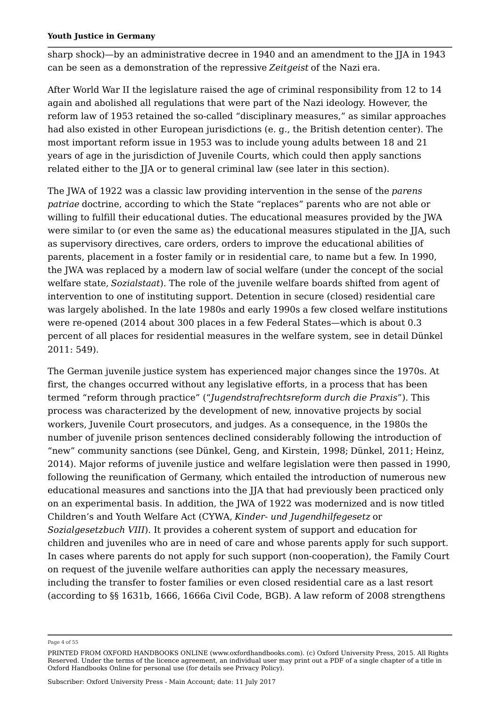sharp shock)—by an administrative decree in 1940 and an amendment to the JJA in 1943 can be seen as a demonstration of the repressive *Zeitgeist* of the Nazi era.

After World War II the legislature raised the age of criminal responsibility from 12 to 14 again and abolished all regulations that were part of the Nazi ideology. However, the reform law of 1953 retained the so-called "disciplinary measures," as similar approaches had also existed in other European jurisdictions (e. g., the British detention center). The most important reform issue in 1953 was to include young adults between 18 and 21 years of age in the jurisdiction of Juvenile Courts, which could then apply sanctions related either to the JJA or to general criminal law (see later in this section).

The JWA of 1922 was a classic law providing intervention in the sense of the *parens patriae* doctrine, according to which the State "replaces" parents who are not able or willing to fulfill their educational duties. The educational measures provided by the JWA were similar to (or even the same as) the educational measures stipulated in the JJA, such as supervisory directives, care orders, orders to improve the educational abilities of parents, placement in a foster family or in residential care, to name but a few. In 1990, the JWA was replaced by a modern law of social welfare (under the concept of the social welfare state, *Sozialstaat*). The role of the juvenile welfare boards shifted from agent of intervention to one of instituting support. Detention in secure (closed) residential care was largely abolished. In the late 1980s and early 1990s a few closed welfare institutions were re-opened (2014 about 300 places in a few Federal States—which is about 0.3 percent of all places for residential measures in the welfare system, see in detail Dünkel 2011: 549).

The German juvenile justice system has experienced major changes since the 1970s. At first, the changes occurred without any legislative efforts, in a process that has been termed "reform through practice" ("*Jugendstrafrechtsreform durch die Praxis*"). This process was characterized by the development of new, innovative projects by social workers, Juvenile Court prosecutors, and judges. As a consequence, in the 1980s the number of juvenile prison sentences declined considerably following the introduction of "new" community sanctions (see Dünkel, Geng, and Kirstein, 1998; Dünkel, 2011; Heinz, 2014). Major reforms of juvenile justice and welfare legislation were then passed in 1990, following the reunification of Germany, which entailed the introduction of numerous new educational measures and sanctions into the JJA that had previously been practiced only on an experimental basis. In addition, the JWA of 1922 was modernized and is now titled Children's and Youth Welfare Act (CYWA, *Kinder- und Jugendhilfegesetz* or *Sozialgesetzbuch VIII*). It provides a coherent system of support and education for children and juveniles who are in need of care and whose parents apply for such support. In cases where parents do not apply for such support (non-cooperation), the Family Court on request of the juvenile welfare authorities can apply the necessary measures, including the transfer to foster families or even closed residential care as a last resort (according to §§ 1631b, 1666, 1666a Civil Code, BGB). A law reform of 2008 strengthens

Page 4 of 55

PRINTED FROM OXFORD HANDBOOKS ONLINE (www.oxfordhandbooks.com). (c) Oxford University Press, 2015. All Rights Reserved. Under the terms of the licence agreement, an individual user may print out a PDF of a single chapter of a title in Oxford Handbooks Online for personal use (for details see Privacy Policy).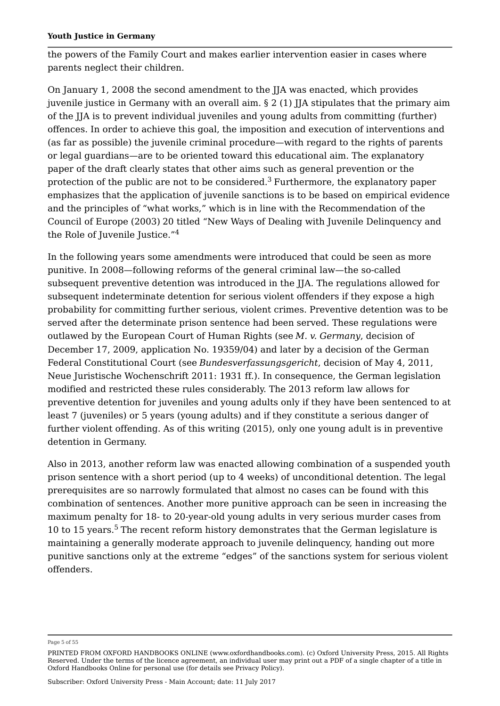the powers of the Family Court and makes earlier intervention easier in cases where parents neglect their children.

On January 1, 2008 the second amendment to the JJA was enacted, which provides juvenile justice in Germany with an overall aim. § 2 (1) JJA stipulates that the primary aim of the JJA is to prevent individual juveniles and young adults from committing (further) offences. In order to achieve this goal, the imposition and execution of interventions and (as far as possible) the juvenile criminal procedure—with regard to the rights of parents or legal guardians—are to be oriented toward this educational aim. The explanatory paper of the draft clearly states that other aims such as general prevention or the protection of the public are not to be considered. $^3$  Furthermore, the explanatory paper emphasizes that the application of juvenile sanctions is to be based on empirical evidence and the principles of "what works," which is in line with the Recommendation of the Council of Europe (2003) 20 titled "New Ways of Dealing with Juvenile Delinquency and the Role of Juvenile Justice." 4

In the following years some amendments were introduced that could be seen as more punitive. In 2008—following reforms of the general criminal law—the so-called subsequent preventive detention was introduced in the JJA. The regulations allowed for subsequent indeterminate detention for serious violent offenders if they expose a high probability for committing further serious, violent crimes. Preventive detention was to be served after the determinate prison sentence had been served. These regulations were outlawed by the European Court of Human Rights (see *M. v. Germany*, decision of December 17, 2009, application No. 19359/04) and later by a decision of the German Federal Constitutional Court (see *Bundesverfassungsgericht*, decision of May 4, 2011, Neue Juristische Wochenschrift 2011: 1931 ff.). In consequence, the German legislation modified and restricted these rules considerably. The 2013 reform law allows for preventive detention for juveniles and young adults only if they have been sentenced to at least 7 (juveniles) or 5 years (young adults) and if they constitute a serious danger of further violent offending. As of this writing (2015), only one young adult is in preventive detention in Germany.

Also in 2013, another reform law was enacted allowing combination of a suspended youth prison sentence with a short period (up to 4 weeks) of unconditional detention. The legal prerequisites are so narrowly formulated that almost no cases can be found with this combination of sentences. Another more punitive approach can be seen in increasing the maximum penalty for 18- to 20-year-old young adults in very serious murder cases from 10 to 15 years. $^5$  The recent reform history demonstrates that the German legislature is maintaining a generally moderate approach to juvenile delinquency, handing out more punitive sanctions only at the extreme "edges" of the sanctions system for serious violent offenders.

Page 5 of 55

PRINTED FROM OXFORD HANDBOOKS ONLINE (www.oxfordhandbooks.com). (c) Oxford University Press, 2015. All Rights Reserved. Under the terms of the licence agreement, an individual user may print out a PDF of a single chapter of a title in Oxford Handbooks Online for personal use (for details see Privacy Policy).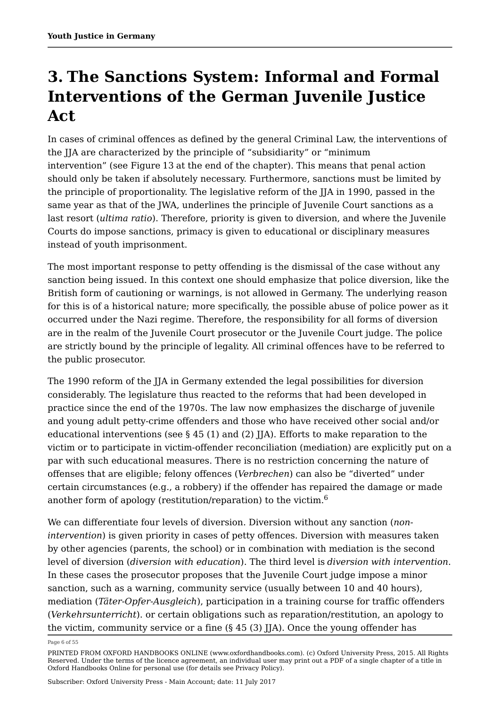# **3. The Sanctions System: Informal and Formal Interventions of the German Juvenile Justice Act**

In cases of criminal offences as defined by the general Criminal Law, the interventions of the IIA are characterized by the principle of "subsidiarity" or "minimum intervention" (see Figure 13 at the end of the chapter). This means that penal action should only be taken if absolutely necessary. Furthermore, sanctions must be limited by the principle of proportionality. The legislative reform of the JJA in 1990, passed in the same year as that of the JWA, underlines the principle of Juvenile Court sanctions as a last resort (*ultima ratio*). Therefore, priority is given to diversion, and where the Juvenile Courts do impose sanctions, primacy is given to educational or disciplinary measures instead of youth imprisonment.

The most important response to petty offending is the dismissal of the case without any sanction being issued. In this context one should emphasize that police diversion, like the British form of cautioning or warnings, is not allowed in Germany. The underlying reason for this is of a historical nature; more specifically, the possible abuse of police power as it occurred under the Nazi regime. Therefore, the responsibility for all forms of diversion are in the realm of the Juvenile Court prosecutor or the Juvenile Court judge. The police are strictly bound by the principle of legality. All criminal offences have to be referred to the public prosecutor.

The 1990 reform of the JJA in Germany extended the legal possibilities for diversion considerably. The legislature thus reacted to the reforms that had been developed in practice since the end of the 1970s. The law now emphasizes the discharge of juvenile and young adult petty-crime offenders and those who have received other social and/or educational interventions (see  $\S 45 (1)$  and  $(2)$  JJA). Efforts to make reparation to the victim or to participate in victim-offender reconciliation (mediation) are explicitly put on a par with such educational measures. There is no restriction concerning the nature of offenses that are eligible; felony offences (*Verbrechen*) can also be "diverted" under certain circumstances (e.g., a robbery) if the offender has repaired the damage or made another form of apology (restitution/reparation) to the victim. $^6\,$ 

We can differentiate four levels of diversion. Diversion without any sanction (*nonintervention*) is given priority in cases of petty offences. Diversion with measures taken by other agencies (parents, the school) or in combination with mediation is the second level of diversion (*diversion with education*). The third level is *diversion with intervention*. In these cases the prosecutor proposes that the Juvenile Court judge impose a minor sanction, such as a warning, community service (usually between 10 and 40 hours), mediation (*Täter-Opfer-Ausgleich*), participation in a training course for traffic offenders (*Verkehrsunterricht*). or certain obligations such as reparation/restitution, an apology to the victim, community service or a fine (§ 45 (3) JJA). Once the young offender has

Page 6 of 55

PRINTED FROM OXFORD HANDBOOKS ONLINE (www.oxfordhandbooks.com). (c) Oxford University Press, 2015. All Rights Reserved. Under the terms of the licence agreement, an individual user may print out a PDF of a single chapter of a title in Oxford Handbooks Online for personal use (for details see Privacy Policy).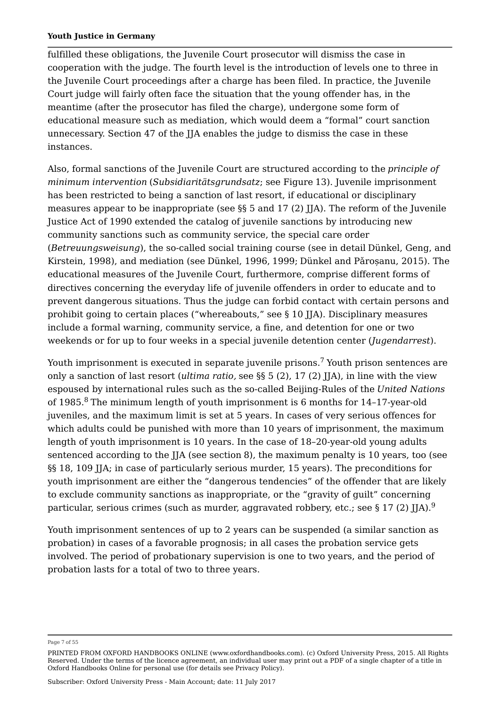fulfilled these obligations, the Juvenile Court prosecutor will dismiss the case in cooperation with the judge. The fourth level is the introduction of levels one to three in the Juvenile Court proceedings after a charge has been filed. In practice, the Juvenile Court judge will fairly often face the situation that the young offender has, in the meantime (after the prosecutor has filed the charge), undergone some form of educational measure such as mediation, which would deem a "formal" court sanction unnecessary. Section 47 of the JJA enables the judge to dismiss the case in these instances.

Also, formal sanctions of the Juvenile Court are structured according to the *principle of minimum intervention* (*Subsidiaritätsgrundsatz*; see Figure 13). Juvenile imprisonment has been restricted to being a sanction of last resort, if educational or disciplinary measures appear to be inappropriate (see §§ 5 and 17 (2) JJA). The reform of the Juvenile Justice Act of 1990 extended the catalog of juvenile sanctions by introducing new community sanctions such as community service, the special care order (*Betreuungsweisung*), the so-called social training course (see in detail Dünkel, Geng, and Kirstein, 1998), and mediation (see Dünkel, 1996, 1999; Dünkel and Pǎroșanu, 2015). The educational measures of the Juvenile Court, furthermore, comprise different forms of directives concerning the everyday life of juvenile offenders in order to educate and to prevent dangerous situations. Thus the judge can forbid contact with certain persons and prohibit going to certain places ("whereabouts," see § 10 JJA). Disciplinary measures include a formal warning, community service, a fine, and detention for one or two weekends or for up to four weeks in a special juvenile detention center (*Jugendarrest*).

Youth imprisonment is executed in separate juvenile prisons. $^7$  Youth prison sentences are only a sanction of last resort (*ultima ratio,* see §§ 5 (2), 17 (2) JJA), in line with the view espoused by international rules such as the so-called Beijing-Rules of the *United Nations* of 1985. $^8$  The minimum length of youth imprisonment is 6 months for 14-17-year-old juveniles, and the maximum limit is set at 5 years. In cases of very serious offences for which adults could be punished with more than 10 years of imprisonment, the maximum length of youth imprisonment is 10 years. In the case of 18–20-year-old young adults sentenced according to the JJA (see section 8), the maximum penalty is 10 years, too (see §§ 18, 109 JJA; in case of particularly serious murder, 15 years). The preconditions for youth imprisonment are either the "dangerous tendencies" of the offender that are likely to exclude community sanctions as inappropriate, or the "gravity of guilt" concerning particular, serious crimes (such as murder, aggravated robbery, etc.; see § 17 (2) JJA). $^9$ 

Youth imprisonment sentences of up to 2 years can be suspended (a similar sanction as probation) in cases of a favorable prognosis; in all cases the probation service gets involved. The period of probationary supervision is one to two years, and the period of probation lasts for a total of two to three years.

Page 7 of 55

PRINTED FROM OXFORD HANDBOOKS ONLINE (www.oxfordhandbooks.com). (c) Oxford University Press, 2015. All Rights Reserved. Under the terms of the licence agreement, an individual user may print out a PDF of a single chapter of a title in Oxford Handbooks Online for personal use (for details see Privacy Policy).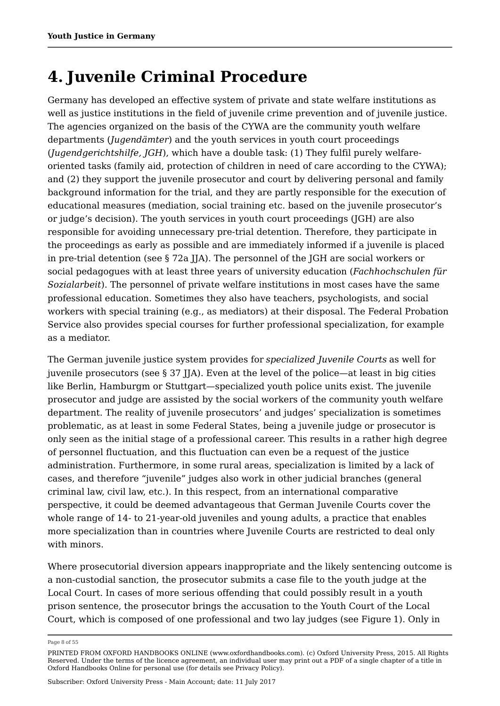# **4. Juvenile Criminal Procedure**

Germany has developed an effective system of private and state welfare institutions as well as justice institutions in the field of juvenile crime prevention and of juvenile justice. The agencies organized on the basis of the CYWA are the community youth welfare departments (*Jugendämter*) and the youth services in youth court proceedings (*Jugendgerichtshilfe, JGH*), which have a double task: (1) They fulfil purely welfareoriented tasks (family aid, protection of children in need of care according to the CYWA); and (2) they support the juvenile prosecutor and court by delivering personal and family background information for the trial, and they are partly responsible for the execution of educational measures (mediation, social training etc. based on the juvenile prosecutor's or judge's decision). The youth services in youth court proceedings (JGH) are also responsible for avoiding unnecessary pre-trial detention. Therefore, they participate in the proceedings as early as possible and are immediately informed if a juvenile is placed in pre-trial detention (see § 72a JJA). The personnel of the JGH are social workers or social pedagogues with at least three years of university education (*Fachhochschulen für Sozialarbeit*). The personnel of private welfare institutions in most cases have the same professional education. Sometimes they also have teachers, psychologists, and social workers with special training (e.g., as mediators) at their disposal. The Federal Probation Service also provides special courses for further professional specialization, for example as a mediator.

The German juvenile justice system provides for *specialized Juvenile Courts* as well for juvenile prosecutors (see § 37 JJA). Even at the level of the police—at least in big cities like Berlin, Hamburgm or Stuttgart—specialized youth police units exist. The juvenile prosecutor and judge are assisted by the social workers of the community youth welfare department. The reality of juvenile prosecutors' and judges' specialization is sometimes problematic, as at least in some Federal States, being a juvenile judge or prosecutor is only seen as the initial stage of a professional career. This results in a rather high degree of personnel fluctuation, and this fluctuation can even be a request of the justice administration. Furthermore, in some rural areas, specialization is limited by a lack of cases, and therefore "juvenile" judges also work in other judicial branches (general criminal law, civil law, etc.). In this respect, from an international comparative perspective, it could be deemed advantageous that German Juvenile Courts cover the whole range of 14- to 21-year-old juveniles and young adults, a practice that enables more specialization than in countries where Juvenile Courts are restricted to deal only with minors.

Where prosecutorial diversion appears inappropriate and the likely sentencing outcome is a non-custodial sanction, the prosecutor submits a case file to the youth judge at the Local Court. In cases of more serious offending that could possibly result in a youth prison sentence, the prosecutor brings the accusation to the Youth Court of the Local Court, which is composed of one professional and two lay judges (see Figure 1). Only in

Page 8 of 55

PRINTED FROM OXFORD HANDBOOKS ONLINE (www.oxfordhandbooks.com). (c) Oxford University Press, 2015. All Rights Reserved. Under the terms of the licence agreement, an individual user may print out a PDF of a single chapter of a title in Oxford Handbooks Online for personal use (for details see Privacy Policy).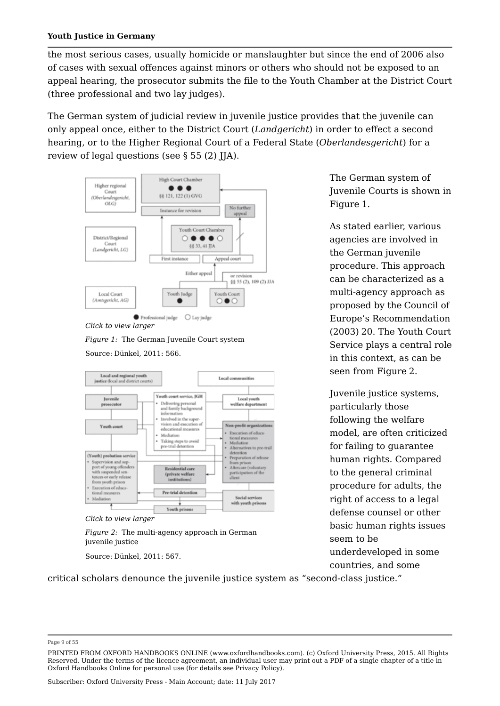the most serious cases, usually homicide or manslaughter but since the end of 2006 also of cases with sexual offences against minors or others who should not be exposed to an appeal hearing, the prosecutor submits the file to the Youth Chamber at the District Court (three professional and two lay judges).

The German system of judicial review in juvenile justice provides that the juvenile can only appeal once, either to the District Court (*Landgericht*) in order to effect a second hearing, or to the Higher Regional Court of a Federal State (*Oberlandesgericht*) for a review of legal questions (see § 55 (2) JJA).



*Click to view larger*

*Figure 1:* The German Juvenile Court system

Source: Dünkel, 2011: 566.





*Figure 2:* The multi-agency approach in German juvenile justice

Source: Dünkel, 2011: 567.

critical scholars denounce the juvenile justice system as "second-class justice."

The German system of Juvenile Courts is shown in Figure 1.

As stated earlier, various agencies are involved in the German juvenile procedure. This approach can be characterized as a multi-agency approach as proposed by the Council of Europe's Recommendation (2003) 20. The Youth Court Service plays a central role in this context, as can be seen from Figure 2.

Juvenile justice systems, particularly those following the welfare model, are often criticized for failing to guarantee human rights. Compared to the general criminal procedure for adults, the right of access to a legal defense counsel or other basic human rights issues seem to be underdeveloped in some countries, and some

Page 9 of 55

PRINTED FROM OXFORD HANDBOOKS ONLINE (www.oxfordhandbooks.com). (c) Oxford University Press, 2015. All Rights Reserved. Under the terms of the licence agreement, an individual user may print out a PDF of a single chapter of a title in Oxford Handbooks Online for personal use (for details see Privacy Policy).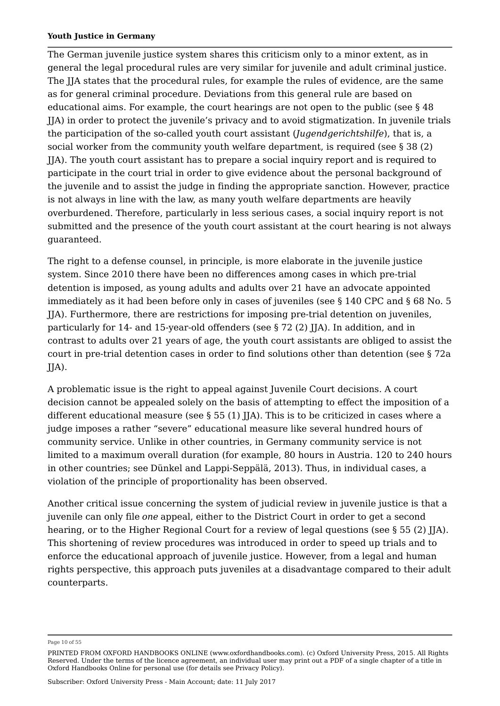The German juvenile justice system shares this criticism only to a minor extent, as in general the legal procedural rules are very similar for juvenile and adult criminal justice. The JJA states that the procedural rules, for example the rules of evidence, are the same as for general criminal procedure. Deviations from this general rule are based on educational aims. For example, the court hearings are not open to the public (see § 48 JJA) in order to protect the juvenile's privacy and to avoid stigmatization. In juvenile trials the participation of the so-called youth court assistant (*Jugendgerichtshilfe*), that is, a social worker from the community youth welfare department, is required (see § 38 (2) JJA). The youth court assistant has to prepare a social inquiry report and is required to participate in the court trial in order to give evidence about the personal background of the juvenile and to assist the judge in finding the appropriate sanction. However, practice is not always in line with the law, as many youth welfare departments are heavily overburdened. Therefore, particularly in less serious cases, a social inquiry report is not submitted and the presence of the youth court assistant at the court hearing is not always guaranteed.

The right to a defense counsel, in principle, is more elaborate in the juvenile justice system. Since 2010 there have been no differences among cases in which pre-trial detention is imposed, as young adults and adults over 21 have an advocate appointed immediately as it had been before only in cases of juveniles (see § 140 CPC and § 68 No. 5 JJA). Furthermore, there are restrictions for imposing pre-trial detention on juveniles, particularly for 14- and 15-year-old offenders (see § 72 (2) JJA). In addition, and in contrast to adults over 21 years of age, the youth court assistants are obliged to assist the court in pre-trial detention cases in order to find solutions other than detention (see § 72a JJA).

A problematic issue is the right to appeal against Juvenile Court decisions. A court decision cannot be appealed solely on the basis of attempting to effect the imposition of a different educational measure (see  $\S 55 (1)$  JJA). This is to be criticized in cases where a judge imposes a rather "severe" educational measure like several hundred hours of community service. Unlike in other countries, in Germany community service is not limited to a maximum overall duration (for example, 80 hours in Austria. 120 to 240 hours in other countries; see Dünkel and Lappi-Seppälä, 2013). Thus, in individual cases, a violation of the principle of proportionality has been observed.

Another critical issue concerning the system of judicial review in juvenile justice is that a juvenile can only file *one* appeal, either to the District Court in order to get a second hearing, or to the Higher Regional Court for a review of legal questions (see § 55 (2) IJA). This shortening of review procedures was introduced in order to speed up trials and to enforce the educational approach of juvenile justice. However, from a legal and human rights perspective, this approach puts juveniles at a disadvantage compared to their adult counterparts.

Page 10 of 55

PRINTED FROM OXFORD HANDBOOKS ONLINE (www.oxfordhandbooks.com). (c) Oxford University Press, 2015. All Rights Reserved. Under the terms of the licence agreement, an individual user may print out a PDF of a single chapter of a title in Oxford Handbooks Online for personal use (for details see Privacy Policy).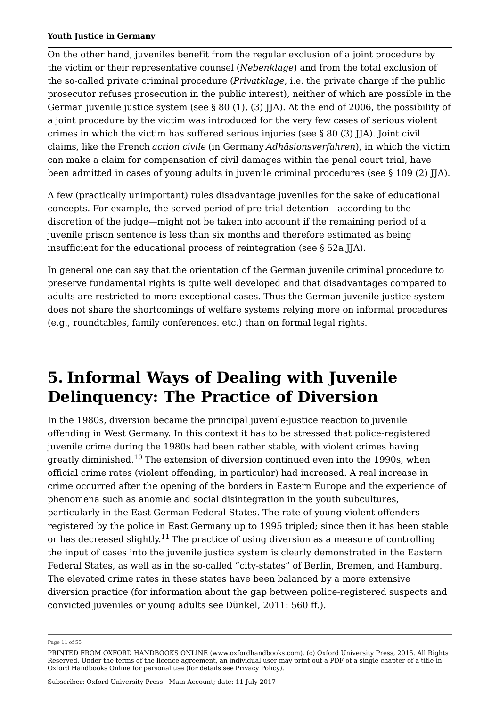On the other hand, juveniles benefit from the regular exclusion of a joint procedure by the victim or their representative counsel (*Nebenklage*) and from the total exclusion of the so-called private criminal procedure (*Privatklage*, i.e. the private charge if the public prosecutor refuses prosecution in the public interest), neither of which are possible in the German juvenile justice system (see  $\S 80 (1)$ , (3) IJA). At the end of 2006, the possibility of a joint procedure by the victim was introduced for the very few cases of serious violent crimes in which the victim has suffered serious injuries (see § 80 (3) JJA). Joint civil claims, like the French *action civile* (in Germany *Adhäsionsverfahren*), in which the victim can make a claim for compensation of civil damages within the penal court trial, have been admitted in cases of young adults in juvenile criminal procedures (see § 109 (2) JJA).

A few (practically unimportant) rules disadvantage juveniles for the sake of educational concepts. For example, the served period of pre-trial detention—according to the discretion of the judge—might not be taken into account if the remaining period of a juvenile prison sentence is less than six months and therefore estimated as being insufficient for the educational process of reintegration (see § 52a JJA).

In general one can say that the orientation of the German juvenile criminal procedure to preserve fundamental rights is quite well developed and that disadvantages compared to adults are restricted to more exceptional cases. Thus the German juvenile justice system does not share the shortcomings of welfare systems relying more on informal procedures (e.g., roundtables, family conferences. etc.) than on formal legal rights.

# **5. Informal Ways of Dealing with Juvenile Delinquency: The Practice of Diversion**

In the 1980s, diversion became the principal juvenile-justice reaction to juvenile offending in West Germany. In this context it has to be stressed that police-registered juvenile crime during the 1980s had been rather stable, with violent crimes having greatly diminished. $^{10}$  The extension of diversion continued even into the 1990s, when official crime rates (violent offending, in particular) had increased. A real increase in crime occurred after the opening of the borders in Eastern Europe and the experience of phenomena such as anomie and social disintegration in the youth subcultures, particularly in the East German Federal States. The rate of young violent offenders registered by the police in East Germany up to 1995 tripled; since then it has been stable or has decreased slightly. $^{11}$  The practice of using diversion as a measure of controlling the input of cases into the juvenile justice system is clearly demonstrated in the Eastern Federal States, as well as in the so-called "city-states" of Berlin, Bremen, and Hamburg. The elevated crime rates in these states have been balanced by a more extensive diversion practice (for information about the gap between police-registered suspects and convicted juveniles or young adults see Dünkel, 2011: 560 ff.).

Page 11 of 55

PRINTED FROM OXFORD HANDBOOKS ONLINE (www.oxfordhandbooks.com). (c) Oxford University Press, 2015. All Rights Reserved. Under the terms of the licence agreement, an individual user may print out a PDF of a single chapter of a title in Oxford Handbooks Online for personal use (for details see Privacy Policy).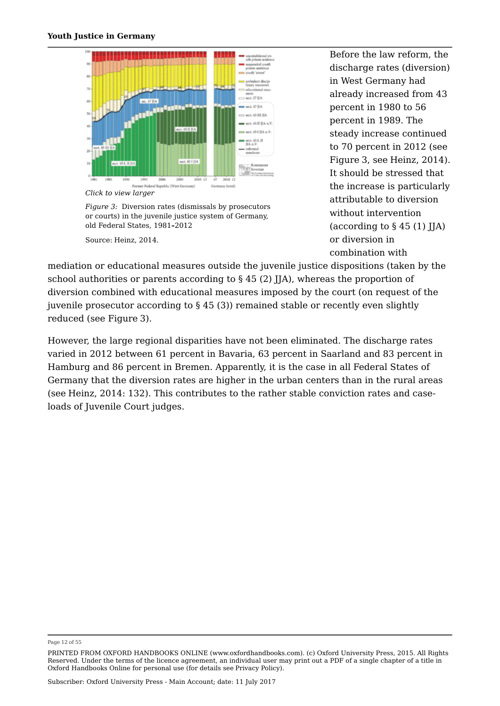

*Click to view larger*

*Figure 3:* Diversion rates (dismissals by prosecutors or courts) in the juvenile justice system of Germany, old Federal States, 1981**–**2012

Source: Heinz, 2014.

Before the law reform, the discharge rates (diversion) in West Germany had already increased from 43 percent in 1980 to 56 percent in 1989. The steady increase continued to 70 percent in 2012 (see Figure 3, see Heinz, 2014). It should be stressed that the increase is particularly attributable to diversion without intervention (according to § 45 (1) JJA) or diversion in combination with

mediation or educational measures outside the juvenile justice dispositions (taken by the school authorities or parents according to § 45 (2) JJA), whereas the proportion of diversion combined with educational measures imposed by the court (on request of the juvenile prosecutor according to § 45 (3)) remained stable or recently even slightly reduced (see Figure 3).

However, the large regional disparities have not been eliminated. The discharge rates varied in 2012 between 61 percent in Bavaria, 63 percent in Saarland and 83 percent in Hamburg and 86 percent in Bremen. Apparently, it is the case in all Federal States of Germany that the diversion rates are higher in the urban centers than in the rural areas (see Heinz, 2014: 132). This contributes to the rather stable conviction rates and caseloads of Juvenile Court judges.

Page 12 of 55

PRINTED FROM OXFORD HANDBOOKS ONLINE (www.oxfordhandbooks.com). (c) Oxford University Press, 2015. All Rights Reserved. Under the terms of the licence agreement, an individual user may print out a PDF of a single chapter of a title in Oxford Handbooks Online for personal use (for details see Privacy Policy).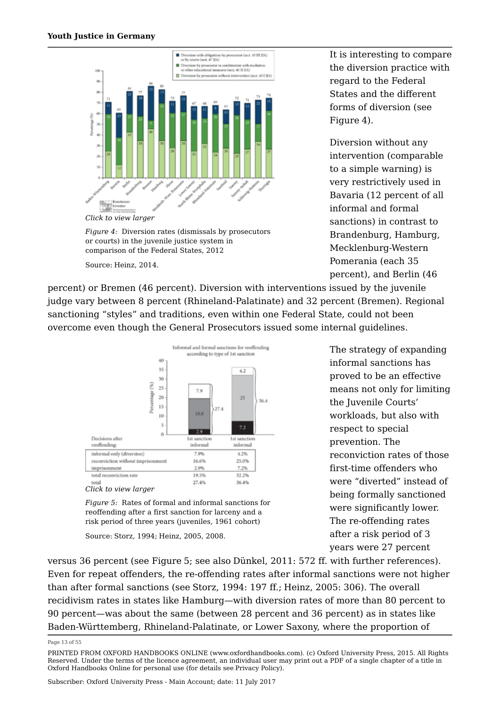

*Figure 4:* Diversion rates (dismissals by prosecutors or courts) in the juvenile justice system in comparison of the Federal States, 2012

Source: Heinz, 2014.

It is interesting to compare the diversion practice with regard to the Federal States and the different forms of diversion (see Figure 4).

Diversion without any intervention (comparable to a simple warning) is very restrictively used in Bavaria (12 percent of all informal and formal sanctions) in contrast to Brandenburg, Hamburg, Mecklenburg-Western Pomerania (each 35 percent), and Berlin (46

percent) or Bremen (46 percent). Diversion with interventions issued by the juvenile judge vary between 8 percent (Rhineland-Palatinate) and 32 percent (Bremen). Regional sanctioning "styles" and traditions, even within one Federal State, could not been overcome even though the General Prosecutors issued some internal guidelines.



*Figure 5:* Rates of formal and informal sanctions for reoffending after a first sanction for larceny and a risk period of three years (juveniles, 1961 cohort)

Source: Storz, 1994; Heinz, 2005, 2008.

The strategy of expanding informal sanctions has proved to be an effective means not only for limiting the Juvenile Courts' workloads, but also with respect to special prevention. The reconviction rates of those first-time offenders who were "diverted" instead of being formally sanctioned were significantly lower. The re-offending rates after a risk period of 3 years were 27 percent

versus 36 percent (see Figure 5; see also Dünkel, 2011: 572 ff. with further references). Even for repeat offenders, the re-offending rates after informal sanctions were not higher than after formal sanctions (see Storz, 1994: 197 ff.; Heinz, 2005: 306). The overall recidivism rates in states like Hamburg—with diversion rates of more than 80 percent to 90 percent—was about the same (between 28 percent and 36 percent) as in states like Baden-Württemberg, Rhineland-Palatinate, or Lower Saxony, where the proportion of

Page 13 of 55

PRINTED FROM OXFORD HANDBOOKS ONLINE (www.oxfordhandbooks.com). (c) Oxford University Press, 2015. All Rights Reserved. Under the terms of the licence agreement, an individual user may print out a PDF of a single chapter of a title in Oxford Handbooks Online for personal use (for details see Privacy Policy).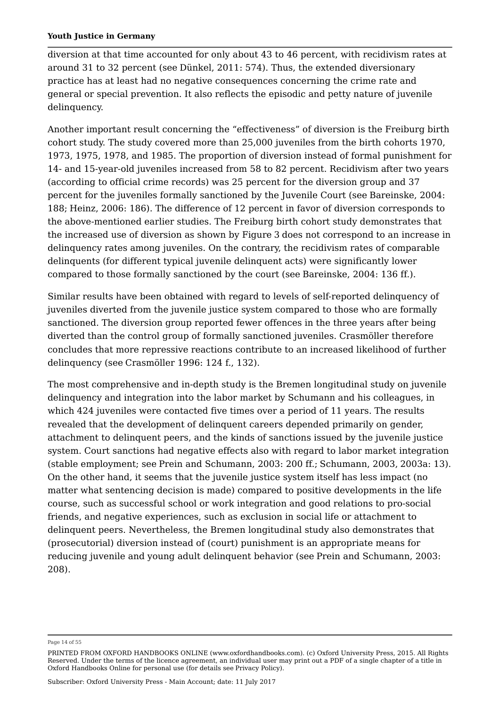diversion at that time accounted for only about 43 to 46 percent, with recidivism rates at around 31 to 32 percent (see Dünkel, 2011: 574). Thus, the extended diversionary practice has at least had no negative consequences concerning the crime rate and general or special prevention. It also reflects the episodic and petty nature of juvenile delinquency.

Another important result concerning the "effectiveness" of diversion is the Freiburg birth cohort study. The study covered more than 25,000 juveniles from the birth cohorts 1970, 1973, 1975, 1978, and 1985. The proportion of diversion instead of formal punishment for 14- and 15-year-old juveniles increased from 58 to 82 percent. Recidivism after two years (according to official crime records) was 25 percent for the diversion group and 37 percent for the juveniles formally sanctioned by the Juvenile Court (see Bareinske, 2004: 188; Heinz, 2006: 186). The difference of 12 percent in favor of diversion corresponds to the above-mentioned earlier studies. The Freiburg birth cohort study demonstrates that the increased use of diversion as shown by Figure 3 does not correspond to an increase in delinquency rates among juveniles. On the contrary, the recidivism rates of comparable delinquents (for different typical juvenile delinquent acts) were significantly lower compared to those formally sanctioned by the court (see Bareinske, 2004: 136 ff.).

Similar results have been obtained with regard to levels of self-reported delinquency of juveniles diverted from the juvenile justice system compared to those who are formally sanctioned. The diversion group reported fewer offences in the three years after being diverted than the control group of formally sanctioned juveniles. Crasmöller therefore concludes that more repressive reactions contribute to an increased likelihood of further delinquency (see Crasmöller 1996: 124 f., 132).

The most comprehensive and in-depth study is the Bremen longitudinal study on juvenile delinquency and integration into the labor market by Schumann and his colleagues, in which 424 juveniles were contacted five times over a period of 11 years. The results revealed that the development of delinquent careers depended primarily on gender, attachment to delinquent peers, and the kinds of sanctions issued by the juvenile justice system. Court sanctions had negative effects also with regard to labor market integration (stable employment; see Prein and Schumann, 2003: 200 ff.; Schumann, 2003, 2003a: 13). On the other hand, it seems that the juvenile justice system itself has less impact (no matter what sentencing decision is made) compared to positive developments in the life course, such as successful school or work integration and good relations to pro-social friends, and negative experiences, such as exclusion in social life or attachment to delinquent peers. Nevertheless, the Bremen longitudinal study also demonstrates that (prosecutorial) diversion instead of (court) punishment is an appropriate means for reducing juvenile and young adult delinquent behavior (see Prein and Schumann, 2003: 208).

Page 14 of 55

PRINTED FROM OXFORD HANDBOOKS ONLINE (www.oxfordhandbooks.com). (c) Oxford University Press, 2015. All Rights Reserved. Under the terms of the licence agreement, an individual user may print out a PDF of a single chapter of a title in Oxford Handbooks Online for personal use (for details see Privacy Policy).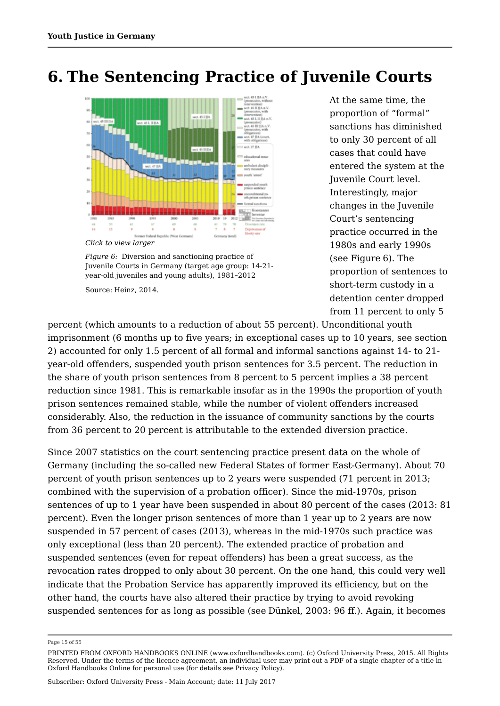## **6. The Sentencing Practice of Juvenile Courts**



*Click to view larger*

*Figure 6:* Diversion and sanctioning practice of Juvenile Courts in Germany (target age group: 14-21 year-old juveniles and young adults), 1981**–**2012

Source: Heinz, 2014.

At the same time, the proportion of "formal" sanctions has diminished to only 30 percent of all cases that could have entered the system at the Juvenile Court level. Interestingly, major changes in the Juvenile Court's sentencing practice occurred in the 1980s and early 1990s (see Figure 6). The proportion of sentences to short-term custody in a detention center dropped from 11 percent to only 5

percent (which amounts to a reduction of about 55 percent). Unconditional youth imprisonment (6 months up to five years; in exceptional cases up to 10 years, see section 2) accounted for only 1.5 percent of all formal and informal sanctions against 14- to 21 year-old offenders, suspended youth prison sentences for 3.5 percent. The reduction in the share of youth prison sentences from 8 percent to 5 percent implies a 38 percent reduction since 1981. This is remarkable insofar as in the 1990s the proportion of youth prison sentences remained stable, while the number of violent offenders increased considerably. Also, the reduction in the issuance of community sanctions by the courts from 36 percent to 20 percent is attributable to the extended diversion practice.

Since 2007 statistics on the court sentencing practice present data on the whole of Germany (including the so-called new Federal States of former East-Germany). About 70 percent of youth prison sentences up to 2 years were suspended (71 percent in 2013; combined with the supervision of a probation officer). Since the mid-1970s, prison sentences of up to 1 year have been suspended in about 80 percent of the cases (2013: 81 percent). Even the longer prison sentences of more than 1 year up to 2 years are now suspended in 57 percent of cases (2013), whereas in the mid-1970s such practice was only exceptional (less than 20 percent). The extended practice of probation and suspended sentences (even for repeat offenders) has been a great success, as the revocation rates dropped to only about 30 percent. On the one hand, this could very well indicate that the Probation Service has apparently improved its efficiency, but on the other hand, the courts have also altered their practice by trying to avoid revoking suspended sentences for as long as possible (see Dünkel, 2003: 96 ff.). Again, it becomes

Page 15 of 55

PRINTED FROM OXFORD HANDBOOKS ONLINE (www.oxfordhandbooks.com). (c) Oxford University Press, 2015. All Rights Reserved. Under the terms of the licence agreement, an individual user may print out a PDF of a single chapter of a title in Oxford Handbooks Online for personal use (for details see Privacy Policy).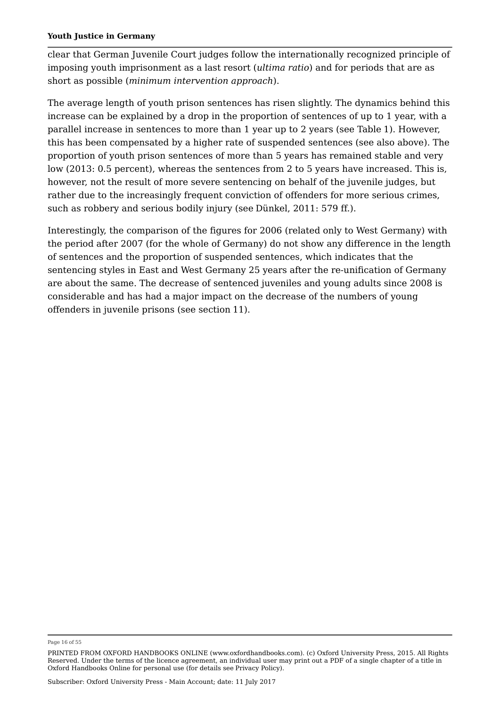clear that German Juvenile Court judges follow the internationally recognized principle of imposing youth imprisonment as a last resort (*ultima ratio*) and for periods that are as short as possible (*minimum intervention approach*).

The average length of youth prison sentences has risen slightly. The dynamics behind this increase can be explained by a drop in the proportion of sentences of up to 1 year, with a parallel increase in sentences to more than 1 year up to 2 years (see Table 1). However, this has been compensated by a higher rate of suspended sentences (see also above). The proportion of youth prison sentences of more than 5 years has remained stable and very low (2013: 0.5 percent), whereas the sentences from 2 to 5 years have increased. This is, however, not the result of more severe sentencing on behalf of the juvenile judges, but rather due to the increasingly frequent conviction of offenders for more serious crimes, such as robbery and serious bodily injury (see Dünkel, 2011: 579 ff.).

Interestingly, the comparison of the figures for 2006 (related only to West Germany) with the period after 2007 (for the whole of Germany) do not show any difference in the length of sentences and the proportion of suspended sentences, which indicates that the sentencing styles in East and West Germany 25 years after the re-unification of Germany are about the same. The decrease of sentenced juveniles and young adults since 2008 is considerable and has had a major impact on the decrease of the numbers of young offenders in juvenile prisons (see section 11).

#### Page 16 of 55

PRINTED FROM OXFORD HANDBOOKS ONLINE (www.oxfordhandbooks.com). (c) Oxford University Press, 2015. All Rights Reserved. Under the terms of the licence agreement, an individual user may print out a PDF of a single chapter of a title in Oxford Handbooks Online for personal use (for details see Privacy Policy).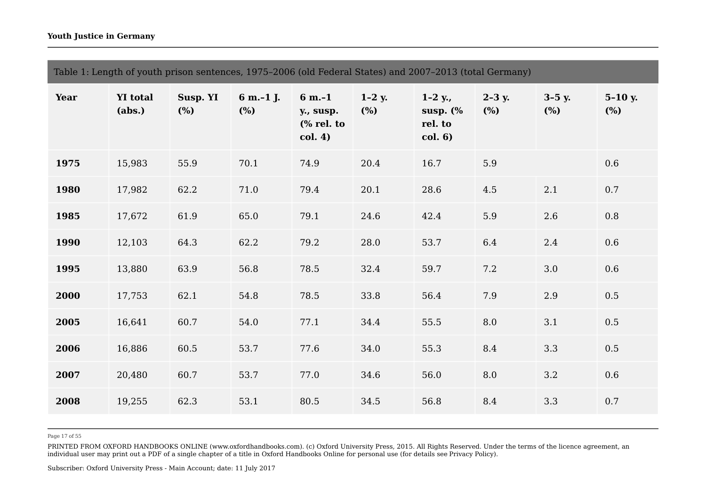|             | Table 1: Length of youth prison sentences, 1975-2006 (old Federal States) and 2007-2013 (total Germany) |                 |                     |                                                 |                    |                                                |                   |                           |                  |
|-------------|---------------------------------------------------------------------------------------------------------|-----------------|---------------------|-------------------------------------------------|--------------------|------------------------------------------------|-------------------|---------------------------|------------------|
| <b>Year</b> | <b>YI</b> total<br>(abs.)                                                                               | Susp. YI<br>(%) | 6 m.-1 J.<br>$(\%)$ | $6 m.-1$<br>y., susp.<br>$%$ rel. to<br>col. 4) | $1-2$ y.<br>$(\%)$ | $1-2$ y.,<br>susp. $(\%$<br>rel. to<br>col. 6) | $2 - 3y$ .<br>(%) | $3-5$ y.<br>$\frac{6}{6}$ | $5-10 y.$<br>(%) |
| 1975        | 15,983                                                                                                  | 55.9            | 70.1                | 74.9                                            | 20.4               | 16.7                                           | 5.9               |                           | $0.6\,$          |
| 1980        | 17,982                                                                                                  | 62.2            | $71.0\,$            | 79.4                                            | 20.1               | 28.6                                           | 4.5               | $2.1\,$                   | 0.7              |
| 1985        | 17,672                                                                                                  | 61.9            | 65.0                | 79.1                                            | 24.6               | 42.4                                           | 5.9               | 2.6                       | $0.8\,$          |
| 1990        | 12,103                                                                                                  | 64.3            | 62.2                | 79.2                                            | 28.0               | 53.7                                           | 6.4               | 2.4                       | $0.6\,$          |
| 1995        | 13,880                                                                                                  | 63.9            | 56.8                | 78.5                                            | 32.4               | 59.7                                           | 7.2               | $3.0\,$                   | $0.6\,$          |
| 2000        | 17,753                                                                                                  | 62.1            | 54.8                | 78.5                                            | 33.8               | 56.4                                           | 7.9               | 2.9                       | $0.5\,$          |
| 2005        | 16,641                                                                                                  | 60.7            | 54.0                | 77.1                                            | 34.4               | 55.5                                           | 8.0               | 3.1                       | 0.5              |
| 2006        | 16,886                                                                                                  | 60.5            | 53.7                | 77.6                                            | 34.0               | 55.3                                           | 8.4               | 3.3                       | $0.5\,$          |
| 2007        | 20,480                                                                                                  | 60.7            | 53.7                | 77.0                                            | 34.6               | 56.0                                           | 8.0               | $3.2\phantom{0}$          | $0.6\,$          |
| 2008        | 19,255                                                                                                  | 62.3            | 53.1                | 80.5                                            | 34.5               | 56.8                                           | 8.4               | 3.3                       | $0.7\,$          |

Page 17 of 55

PRINTED FROM OXFORD HANDBOOKS ONLINE (www.oxfordhandbooks.com). (c) Oxford University Press, 2015. All Rights Reserved. Under the terms of the licence agreement, an individual user may print out a PDF of a single chapter of a title in Oxford Handbooks Online for personal use (for details see Privacy Policy).

Subscriber: Oxford University Press - Main Account; date: 11 July 2017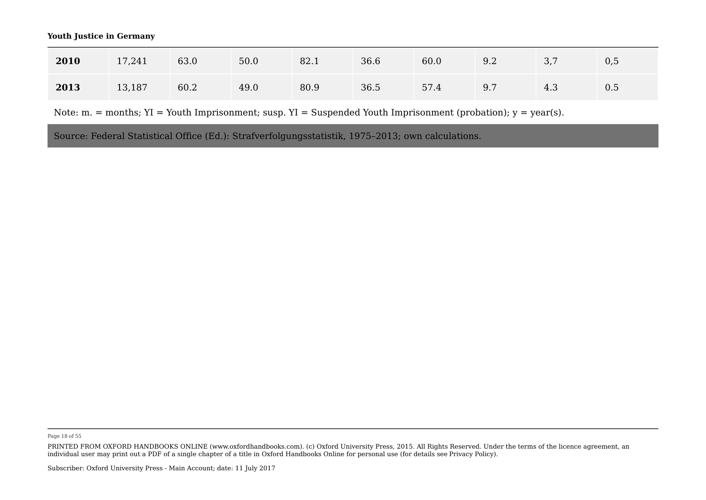| 2010 | 17,241 | 63.0 | 50.0 | 82.1 | 36.6 | 60.0 | 9.2 | 27<br>ັ. | 0,5 |
|------|--------|------|------|------|------|------|-----|----------|-----|
| 2013 | 13,187 | 60.2 | 49.0 | 80.9 | 36.5 | 57.4 | 9.7 | 4.3      | 0.5 |

Note:  $m =$  months;  $YI =$  Youth Imprisonment; susp.  $YI =$  Suspended Youth Imprisonment (probation);  $y =$  year(s).

Source: Federal Statistical Office (Ed.): Strafverfolgungsstatistik, 1975–2013; own calculations.

Page 18 of 55

PRINTED FROM OXFORD HANDBOOKS ONLINE (www.oxfordhandbooks.com). (c) Oxford University Press, 2015. All Rights Reserved. Under the terms of the licence agreement, an individual user may print out a PDF of a single chapter of a title in Oxford Handbooks Online for personal use (for details see Privacy Policy).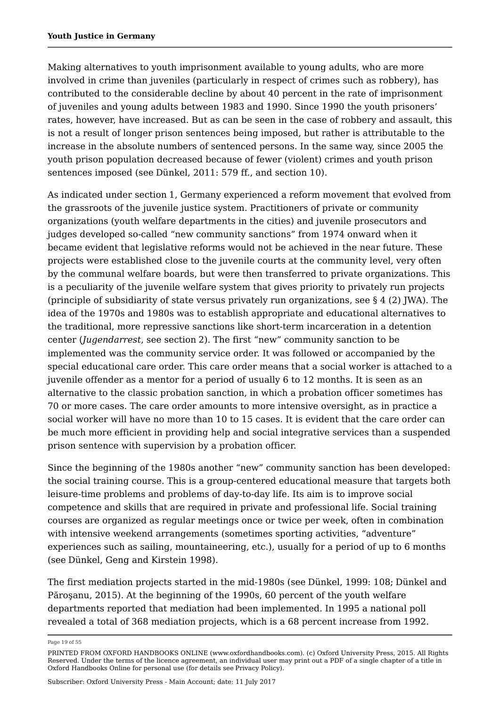Making alternatives to youth imprisonment available to young adults, who are more involved in crime than juveniles (particularly in respect of crimes such as robbery), has contributed to the considerable decline by about 40 percent in the rate of imprisonment of juveniles and young adults between 1983 and 1990. Since 1990 the youth prisoners' rates, however, have increased. But as can be seen in the case of robbery and assault, this is not a result of longer prison sentences being imposed, but rather is attributable to the increase in the absolute numbers of sentenced persons. In the same way, since 2005 the youth prison population decreased because of fewer (violent) crimes and youth prison sentences imposed (see Dünkel, 2011: 579 ff., and section 10).

As indicated under section 1, Germany experienced a reform movement that evolved from the grassroots of the juvenile justice system. Practitioners of private or community organizations (youth welfare departments in the cities) and juvenile prosecutors and judges developed so-called "new community sanctions" from 1974 onward when it became evident that legislative reforms would not be achieved in the near future. These projects were established close to the juvenile courts at the community level, very often by the communal welfare boards, but were then transferred to private organizations. This is a peculiarity of the juvenile welfare system that gives priority to privately run projects (principle of subsidiarity of state versus privately run organizations, see § 4 (2) JWA). The idea of the 1970s and 1980s was to establish appropriate and educational alternatives to the traditional, more repressive sanctions like short-term incarceration in a detention center (*Jugendarrest*, see section 2). The first "new" community sanction to be implemented was the community service order. It was followed or accompanied by the special educational care order. This care order means that a social worker is attached to a juvenile offender as a mentor for a period of usually 6 to 12 months. It is seen as an alternative to the classic probation sanction, in which a probation officer sometimes has 70 or more cases. The care order amounts to more intensive oversight, as in practice a social worker will have no more than 10 to 15 cases. It is evident that the care order can be much more efficient in providing help and social integrative services than a suspended prison sentence with supervision by a probation officer.

Since the beginning of the 1980s another "new" community sanction has been developed: the social training course. This is a group-centered educational measure that targets both leisure-time problems and problems of day-to-day life. Its aim is to improve social competence and skills that are required in private and professional life. Social training courses are organized as regular meetings once or twice per week, often in combination with intensive weekend arrangements (sometimes sporting activities, "adventure" experiences such as sailing, mountaineering, etc.), usually for a period of up to 6 months (see Dünkel, Geng and Kirstein 1998).

The first mediation projects started in the mid-1980s (see Dünkel, 1999: 108; Dünkel and Păroşanu, 2015). At the beginning of the 1990s, 60 percent of the youth welfare departments reported that mediation had been implemented. In 1995 a national poll revealed a total of 368 mediation projects, which is a 68 percent increase from 1992.

Page 19 of 55

PRINTED FROM OXFORD HANDBOOKS ONLINE (www.oxfordhandbooks.com). (c) Oxford University Press, 2015. All Rights Reserved. Under the terms of the licence agreement, an individual user may print out a PDF of a single chapter of a title in Oxford Handbooks Online for personal use (for details see Privacy Policy).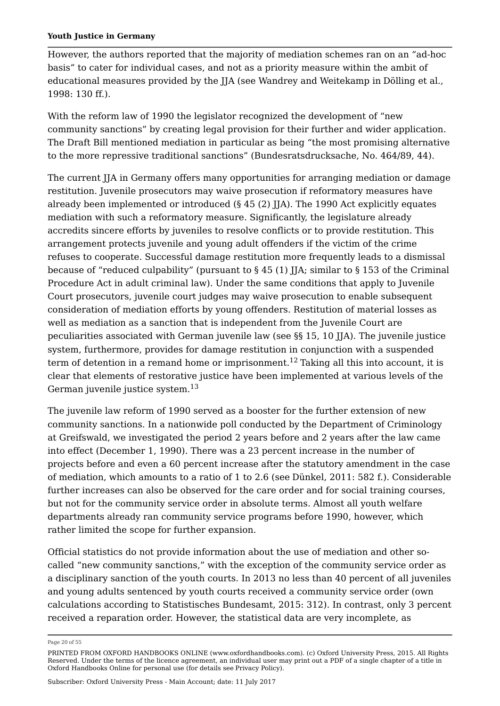However, the authors reported that the majority of mediation schemes ran on an "ad-hoc basis" to cater for individual cases, and not as a priority measure within the ambit of educational measures provided by the JJA (see Wandrey and Weitekamp in Dölling et al., 1998: 130 ff.).

With the reform law of 1990 the legislator recognized the development of "new community sanctions" by creating legal provision for their further and wider application. The Draft Bill mentioned mediation in particular as being "the most promising alternative to the more repressive traditional sanctions" (Bundesratsdrucksache, No. 464/89, 44).

The current JJA in Germany offers many opportunities for arranging mediation or damage restitution. Juvenile prosecutors may waive prosecution if reformatory measures have already been implemented or introduced (§ 45 (2) JJA). The 1990 Act explicitly equates mediation with such a reformatory measure. Significantly, the legislature already accredits sincere efforts by juveniles to resolve conflicts or to provide restitution. This arrangement protects juvenile and young adult offenders if the victim of the crime refuses to cooperate. Successful damage restitution more frequently leads to a dismissal because of "reduced culpability" (pursuant to § 45 (1) JJA; similar to § 153 of the Criminal Procedure Act in adult criminal law). Under the same conditions that apply to Juvenile Court prosecutors, juvenile court judges may waive prosecution to enable subsequent consideration of mediation efforts by young offenders. Restitution of material losses as well as mediation as a sanction that is independent from the Juvenile Court are peculiarities associated with German juvenile law (see §§ 15, 10 JJA). The juvenile justice system, furthermore, provides for damage restitution in conjunction with a suspended term of detention in a remand home or imprisonment. $^{12}$  Taking all this into account, it is clear that elements of restorative justice have been implemented at various levels of the German juvenile justice system. $^{\rm 13}$ 

The juvenile law reform of 1990 served as a booster for the further extension of new community sanctions. In a nationwide poll conducted by the Department of Criminology at Greifswald, we investigated the period 2 years before and 2 years after the law came into effect (December 1, 1990). There was a 23 percent increase in the number of projects before and even a 60 percent increase after the statutory amendment in the case of mediation, which amounts to a ratio of 1 to 2.6 (see Dünkel, 2011: 582 f.). Considerable further increases can also be observed for the care order and for social training courses, but not for the community service order in absolute terms. Almost all youth welfare departments already ran community service programs before 1990, however, which rather limited the scope for further expansion.

Official statistics do not provide information about the use of mediation and other socalled "new community sanctions," with the exception of the community service order as a disciplinary sanction of the youth courts. In 2013 no less than 40 percent of all juveniles and young adults sentenced by youth courts received a community service order (own calculations according to Statistisches Bundesamt, 2015: 312). In contrast, only 3 percent received a reparation order. However, the statistical data are very incomplete, as

Page 20 of 55

PRINTED FROM OXFORD HANDBOOKS ONLINE (www.oxfordhandbooks.com). (c) Oxford University Press, 2015. All Rights Reserved. Under the terms of the licence agreement, an individual user may print out a PDF of a single chapter of a title in Oxford Handbooks Online for personal use (for details see Privacy Policy).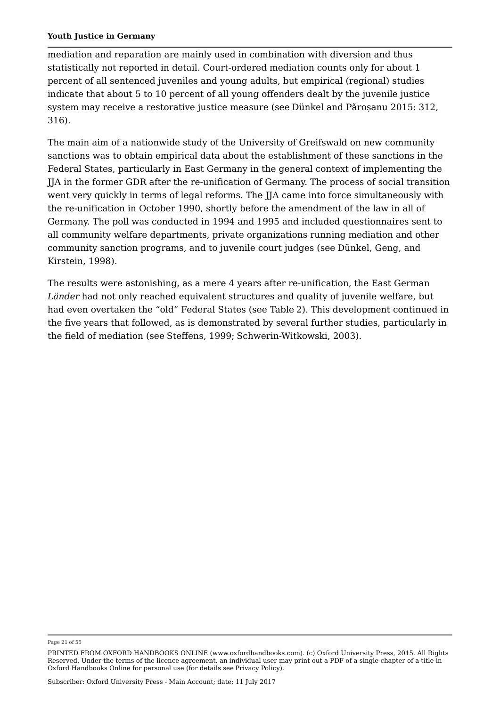mediation and reparation are mainly used in combination with diversion and thus statistically not reported in detail. Court-ordered mediation counts only for about 1 percent of all sentenced juveniles and young adults, but empirical (regional) studies indicate that about 5 to 10 percent of all young offenders dealt by the juvenile justice system may receive a restorative justice measure (see Dünkel and Pǎroșanu 2015: 312, 316).

The main aim of a nationwide study of the University of Greifswald on new community sanctions was to obtain empirical data about the establishment of these sanctions in the Federal States, particularly in East Germany in the general context of implementing the JJA in the former GDR after the re-unification of Germany. The process of social transition went very quickly in terms of legal reforms. The JJA came into force simultaneously with the re-unification in October 1990, shortly before the amendment of the law in all of Germany. The poll was conducted in 1994 and 1995 and included questionnaires sent to all community welfare departments, private organizations running mediation and other community sanction programs, and to juvenile court judges (see Dünkel, Geng, and Kirstein, 1998).

The results were astonishing, as a mere 4 years after re-unification, the East German *Länder* had not only reached equivalent structures and quality of juvenile welfare, but had even overtaken the "old" Federal States (see Table 2). This development continued in the five years that followed, as is demonstrated by several further studies, particularly in the field of mediation (see Steffens, 1999; Schwerin-Witkowski, 2003).

Page 21 of 55

PRINTED FROM OXFORD HANDBOOKS ONLINE (www.oxfordhandbooks.com). (c) Oxford University Press, 2015. All Rights Reserved. Under the terms of the licence agreement, an individual user may print out a PDF of a single chapter of a title in Oxford Handbooks Online for personal use (for details see Privacy Policy).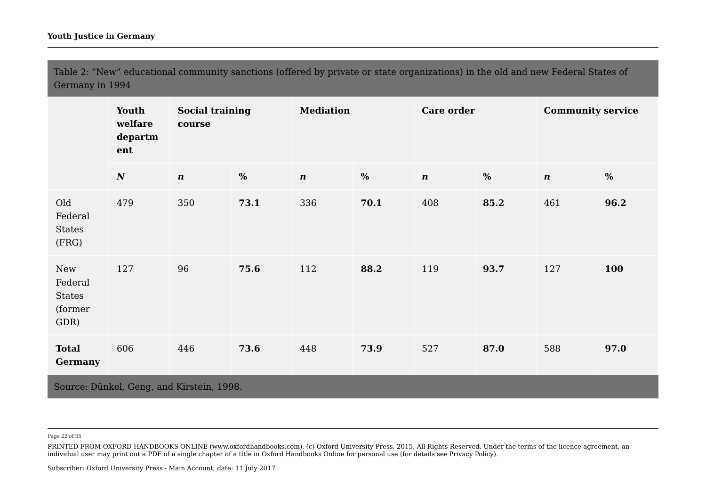Table 2: "New" educational community sanctions (offered by private or state organizations) in the old and new Federal States of Germany in 1994

|                                             | Youth<br>welfare<br>departm<br>ent        | <b>Social training</b><br>course |      | <b>Mediation</b> |      | Care order       |      | <b>Community service</b> |      |
|---------------------------------------------|-------------------------------------------|----------------------------------|------|------------------|------|------------------|------|--------------------------|------|
|                                             | $\boldsymbol{N}$                          | $\boldsymbol{n}$                 | $\%$ | $\boldsymbol{n}$ | $\%$ | $\boldsymbol{n}$ | $\%$ | $\boldsymbol{n}$         | $\%$ |
| Old<br>Federal<br>States<br>(FRG)           | 479                                       | 350                              | 73.1 | 336              | 70.1 | 408              | 85.2 | 461                      | 96.2 |
| New<br>Federal<br>States<br>(former<br>GDR) | 127                                       | 96                               | 75.6 | 112              | 88.2 | 119              | 93.7 | 127                      | 100  |
| <b>Total</b><br><b>Germany</b>              | 606                                       | 446                              | 73.6 | 448              | 73.9 | 527              | 87.0 | 588                      | 97.0 |
|                                             | Source: Dünkel, Geng, and Kirstein, 1998. |                                  |      |                  |      |                  |      |                          |      |

Page 22 of 55

PRINTED FROM OXFORD HANDBOOKS ONLINE (www.oxfordhandbooks.com). (c) Oxford University Press, 2015. All Rights Reserved. Under the terms of the licence agreement, an individual user may print out a PDF of a single chapter of a title in Oxford Handbooks Online for personal use (for details see Privacy Policy).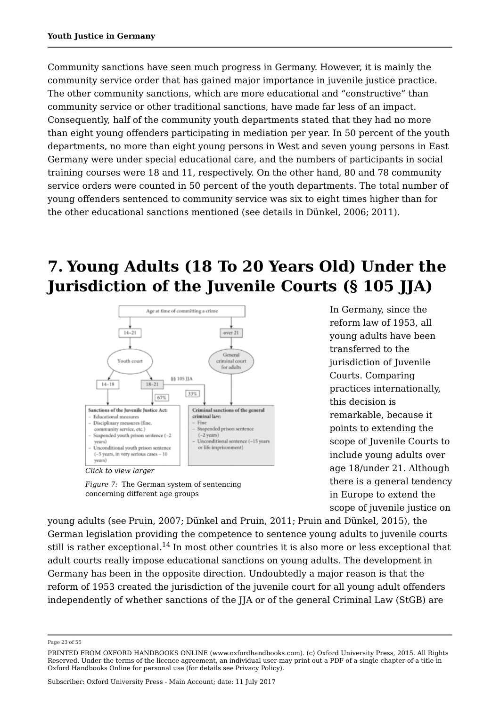Community sanctions have seen much progress in Germany. However, it is mainly the community service order that has gained major importance in juvenile justice practice. The other community sanctions, which are more educational and "constructive" than community service or other traditional sanctions, have made far less of an impact. Consequently, half of the community youth departments stated that they had no more than eight young offenders participating in mediation per year. In 50 percent of the youth departments, no more than eight young persons in West and seven young persons in East Germany were under special educational care, and the numbers of participants in social training courses were 18 and 11, respectively. On the other hand, 80 and 78 community service orders were counted in 50 percent of the youth departments. The total number of young offenders sentenced to community service was six to eight times higher than for the other educational sanctions mentioned (see details in Dünkel, 2006; 2011).

## **7. Young Adults (18 To 20 Years Old) Under the Jurisdiction of the Juvenile Courts (§ 105 JJA)**





*Figure 7:* The German system of sentencing concerning different age groups

In Germany, since the reform law of 1953, all young adults have been transferred to the jurisdiction of Juvenile Courts. Comparing practices internationally, this decision is remarkable, because it points to extending the scope of Juvenile Courts to include young adults over age 18/under 21. Although there is a general tendency in Europe to extend the scope of juvenile justice on

young adults (see Pruin, 2007; Dünkel and Pruin, 2011; Pruin and Dünkel, 2015), the German legislation providing the competence to sentence young adults to juvenile courts still is rather exceptional. $^{14}$  In most other countries it is also more or less exceptional that adult courts really impose educational sanctions on young adults. The development in Germany has been in the opposite direction. Undoubtedly a major reason is that the reform of 1953 created the jurisdiction of the juvenile court for all young adult offenders independently of whether sanctions of the JJA or of the general Criminal Law (StGB) are

Page 23 of 55

PRINTED FROM OXFORD HANDBOOKS ONLINE (www.oxfordhandbooks.com). (c) Oxford University Press, 2015. All Rights Reserved. Under the terms of the licence agreement, an individual user may print out a PDF of a single chapter of a title in Oxford Handbooks Online for personal use (for details see Privacy Policy).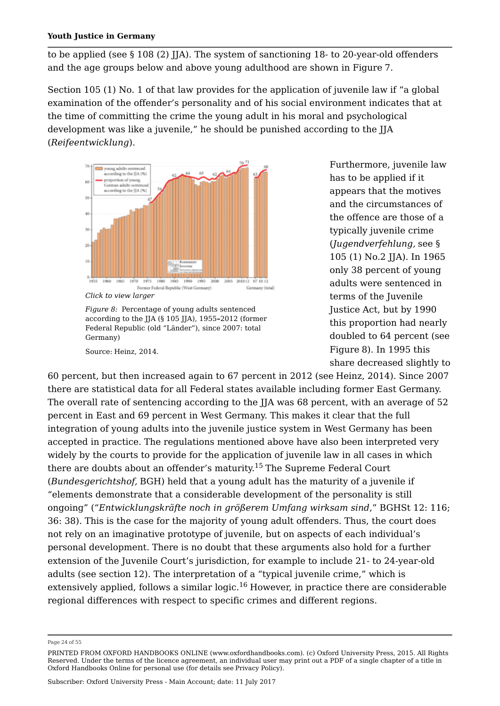to be applied (see § 108 (2) JJA). The system of sanctioning 18- to 20-year-old offenders and the age groups below and above young adulthood are shown in Figure 7.

Section 105 (1) No. 1 of that law provides for the application of juvenile law if "a global examination of the offender's personality and of his social environment indicates that at the time of committing the crime the young adult in his moral and psychological development was like a juvenile," he should be punished according to the JJA (*Reifeentwicklung*).



*Figure 8:* Percentage of young adults sentenced according to the JJA (§ 105 JJA), 1955**–**2012 (former Federal Republic (old "Länder"), since 2007: total Germany)

Source: Heinz, 2014.

Furthermore, juvenile law has to be applied if it appears that the motives and the circumstances of the offence are those of a typically juvenile crime (*Jugendverfehlung,* see § 105 (1) No.2 JJA). In 1965 only 38 percent of young adults were sentenced in terms of the Juvenile Justice Act, but by 1990 this proportion had nearly doubled to 64 percent (see Figure 8). In 1995 this share decreased slightly to

60 percent, but then increased again to 67 percent in 2012 (see Heinz, 2014). Since 2007 there are statistical data for all Federal states available including former East Germany. The overall rate of sentencing according to the JJA was 68 percent, with an average of 52 percent in East and 69 percent in West Germany. This makes it clear that the full integration of young adults into the juvenile justice system in West Germany has been accepted in practice. The regulations mentioned above have also been interpreted very widely by the courts to provide for the application of juvenile law in all cases in which there are doubts about an offender's maturity.<sup>15</sup> The Supreme Federal Court (*Bundesgerichtshof,* BGH) held that a young adult has the maturity of a juvenile if "elements demonstrate that a considerable development of the personality is still ongoing" ("*Entwicklungskräfte noch in größerem Umfang wirksam sind*," BGHSt 12: 116; 36: 38). This is the case for the majority of young adult offenders. Thus, the court does not rely on an imaginative prototype of juvenile, but on aspects of each individual's personal development. There is no doubt that these arguments also hold for a further extension of the Juvenile Court's jurisdiction, for example to include 21- to 24-year-old adults (see section 12). The interpretation of a "typical juvenile crime," which is extensively applied, follows a similar logic. $^{16}$  However, in practice there are considerable regional differences with respect to specific crimes and different regions.

Page 24 of 55

PRINTED FROM OXFORD HANDBOOKS ONLINE (www.oxfordhandbooks.com). (c) Oxford University Press, 2015. All Rights Reserved. Under the terms of the licence agreement, an individual user may print out a PDF of a single chapter of a title in Oxford Handbooks Online for personal use (for details see Privacy Policy).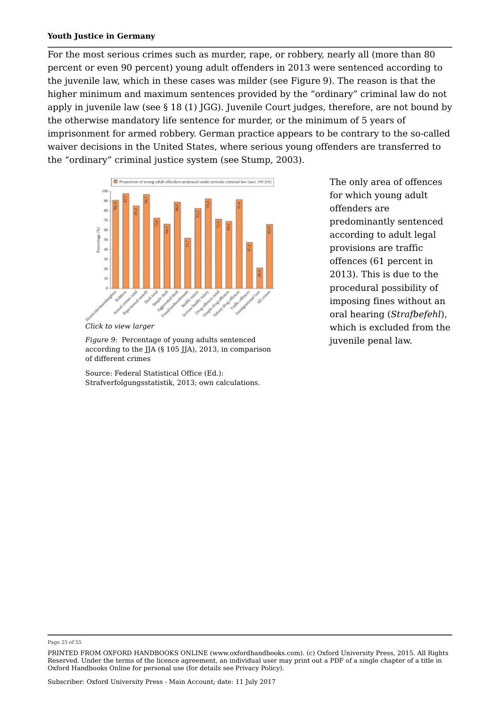For the most serious crimes such as murder, rape, or robbery, nearly all (more than 80 percent or even 90 percent) young adult offenders in 2013 were sentenced according to the juvenile law, which in these cases was milder (see Figure 9). The reason is that the higher minimum and maximum sentences provided by the "ordinary" criminal law do not apply in juvenile law (see § 18 (1) JGG). Juvenile Court judges, therefore, are not bound by the otherwise mandatory life sentence for murder, or the minimum of 5 years of imprisonment for armed robbery. German practice appears to be contrary to the so-called waiver decisions in the United States, where serious young offenders are transferred to the "ordinary" criminal justice system (see Stump, 2003).



*Click to view larger*

*Figure 9:* Percentage of young adults sentenced according to the JJA (§ 105 JJA), 2013, in comparison of different crimes

Source: Federal Statistical Office (Ed.): Strafverfolgungsstatistik, 2013; own calculations.

The only area of offences for which young adult offenders are predominantly sentenced according to adult legal provisions are traffic offences (61 percent in 2013). This is due to the procedural possibility of imposing fines without an oral hearing (*Strafbefehl*), which is excluded from the juvenile penal law.

#### Page 25 of 55

PRINTED FROM OXFORD HANDBOOKS ONLINE (www.oxfordhandbooks.com). (c) Oxford University Press, 2015. All Rights Reserved. Under the terms of the licence agreement, an individual user may print out a PDF of a single chapter of a title in Oxford Handbooks Online for personal use (for details see Privacy Policy).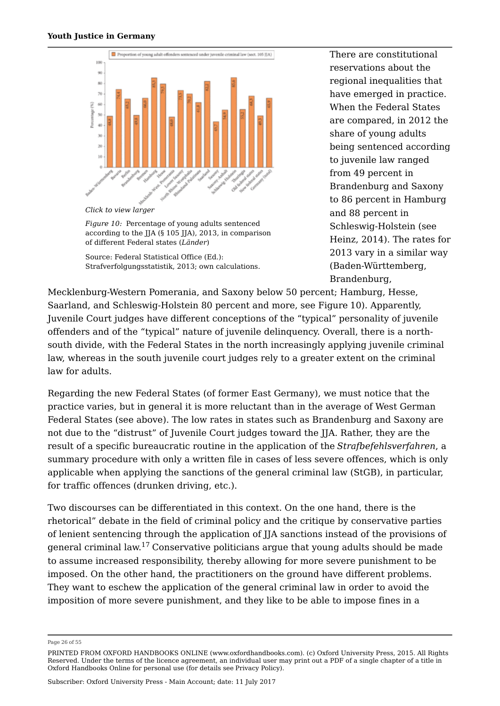

*Click to view larger*

*Figure 10:* Percentage of young adults sentenced according to the JJA (§ 105 JJA), 2013, in comparison of different Federal states (*Länder*)

Source: Federal Statistical Office (Ed.): Strafverfolgungsstatistik, 2013; own calculations. There are constitutional reservations about the regional inequalities that have emerged in practice. When the Federal States are compared, in 2012 the share of young adults being sentenced according to juvenile law ranged from 49 percent in Brandenburg and Saxony to 86 percent in Hamburg and 88 percent in Schleswig-Holstein (see Heinz, 2014). The rates for 2013 vary in a similar way (Baden-Württemberg, Brandenburg,

Mecklenburg-Western Pomerania, and Saxony below 50 percent; Hamburg, Hesse, Saarland, and Schleswig-Holstein 80 percent and more, see Figure 10). Apparently, Juvenile Court judges have different conceptions of the "typical" personality of juvenile offenders and of the "typical" nature of juvenile delinquency. Overall, there is a northsouth divide, with the Federal States in the north increasingly applying juvenile criminal law, whereas in the south juvenile court judges rely to a greater extent on the criminal law for adults.

Regarding the new Federal States (of former East Germany), we must notice that the practice varies, but in general it is more reluctant than in the average of West German Federal States (see above). The low rates in states such as Brandenburg and Saxony are not due to the "distrust" of Juvenile Court judges toward the JJA. Rather, they are the result of a specific bureaucratic routine in the application of the *Strafbefehlsverfahren*, a summary procedure with only a written file in cases of less severe offences, which is only applicable when applying the sanctions of the general criminal law (StGB), in particular, for traffic offences (drunken driving, etc.).

Two discourses can be differentiated in this context. On the one hand, there is the rhetorical" debate in the field of criminal policy and the critique by conservative parties of lenient sentencing through the application of JJA sanctions instead of the provisions of general criminal law.<sup>17</sup> Conservative politicians argue that young adults should be made to assume increased responsibility, thereby allowing for more severe punishment to be imposed. On the other hand, the practitioners on the ground have different problems. They want to eschew the application of the general criminal law in order to avoid the imposition of more severe punishment, and they like to be able to impose fines in a

Page 26 of 55

PRINTED FROM OXFORD HANDBOOKS ONLINE (www.oxfordhandbooks.com). (c) Oxford University Press, 2015. All Rights Reserved. Under the terms of the licence agreement, an individual user may print out a PDF of a single chapter of a title in Oxford Handbooks Online for personal use (for details see Privacy Policy).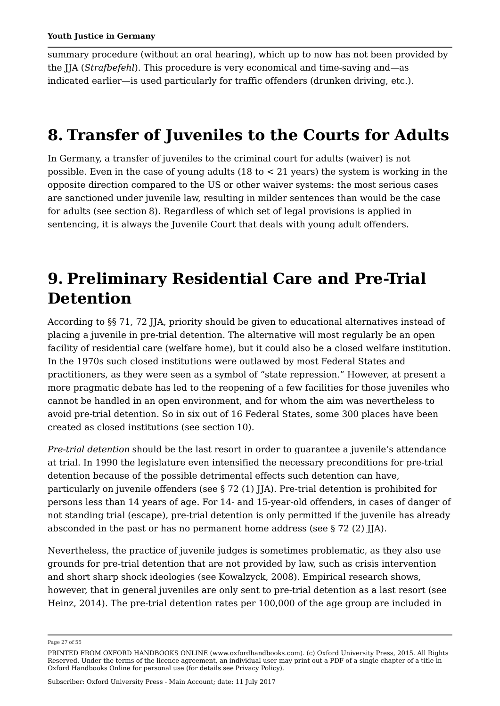summary procedure (without an oral hearing), which up to now has not been provided by the JJA (*Strafbefehl*). This procedure is very economical and time-saving and—as indicated earlier—is used particularly for traffic offenders (drunken driving, etc.).

## **8. Transfer of Juveniles to the Courts for Adults**

In Germany, a transfer of juveniles to the criminal court for adults (waiver) is not possible. Even in the case of young adults (18 to < 21 years) the system is working in the opposite direction compared to the US or other waiver systems: the most serious cases are sanctioned under juvenile law, resulting in milder sentences than would be the case for adults (see section 8). Regardless of which set of legal provisions is applied in sentencing, it is always the Juvenile Court that deals with young adult offenders.

## **9. Preliminary Residential Care and Pre-Trial Detention**

According to §§ 71, 72 JJA, priority should be given to educational alternatives instead of placing a juvenile in pre-trial detention. The alternative will most regularly be an open facility of residential care (welfare home), but it could also be a closed welfare institution. In the 1970s such closed institutions were outlawed by most Federal States and practitioners, as they were seen as a symbol of "state repression." However, at present a more pragmatic debate has led to the reopening of a few facilities for those juveniles who cannot be handled in an open environment, and for whom the aim was nevertheless to avoid pre-trial detention. So in six out of 16 Federal States, some 300 places have been created as closed institutions (see section 10).

*Pre-trial detention* should be the last resort in order to guarantee a juvenile's attendance at trial. In 1990 the legislature even intensified the necessary preconditions for pre-trial detention because of the possible detrimental effects such detention can have, particularly on juvenile offenders (see  $\S 72$  (1) JJA). Pre-trial detention is prohibited for persons less than 14 years of age. For 14- and 15-year-old offenders, in cases of danger of not standing trial (escape), pre-trial detention is only permitted if the juvenile has already absconded in the past or has no permanent home address (see  $\S 72$  (2) JJA).

Nevertheless, the practice of juvenile judges is sometimes problematic, as they also use grounds for pre-trial detention that are not provided by law, such as crisis intervention and short sharp shock ideologies (see Kowalzyck, 2008). Empirical research shows, however, that in general juveniles are only sent to pre-trial detention as a last resort (see Heinz, 2014). The pre-trial detention rates per 100,000 of the age group are included in

Page 27 of 55

PRINTED FROM OXFORD HANDBOOKS ONLINE (www.oxfordhandbooks.com). (c) Oxford University Press, 2015. All Rights Reserved. Under the terms of the licence agreement, an individual user may print out a PDF of a single chapter of a title in Oxford Handbooks Online for personal use (for details see Privacy Policy).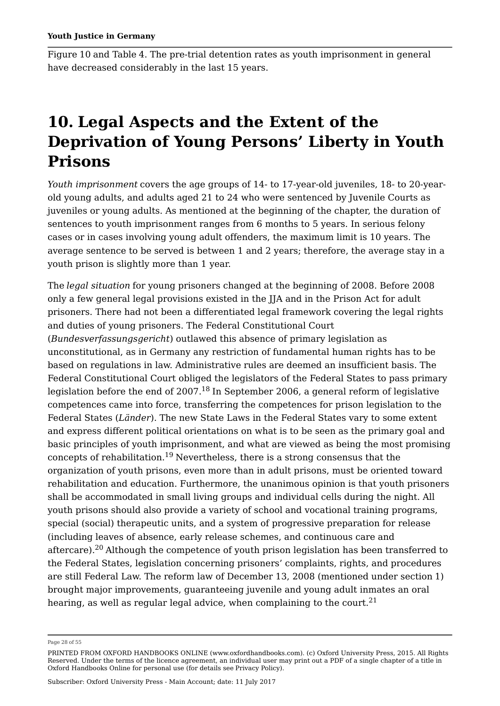Figure 10 and Table 4. The pre-trial detention rates as youth imprisonment in general have decreased considerably in the last 15 years.

## **10. Legal Aspects and the Extent of the Deprivation of Young Persons' Liberty in Youth Prisons**

*Youth imprisonment* covers the age groups of 14- to 17-year-old juveniles, 18- to 20-yearold young adults, and adults aged 21 to 24 who were sentenced by Juvenile Courts as juveniles or young adults. As mentioned at the beginning of the chapter, the duration of sentences to youth imprisonment ranges from 6 months to 5 years. In serious felony cases or in cases involving young adult offenders, the maximum limit is 10 years. The average sentence to be served is between 1 and 2 years; therefore, the average stay in a youth prison is slightly more than 1 year.

The *legal situation* for young prisoners changed at the beginning of 2008. Before 2008 only a few general legal provisions existed in the JJA and in the Prison Act for adult prisoners. There had not been a differentiated legal framework covering the legal rights and duties of young prisoners. The Federal Constitutional Court (*Bundesverfassungsgericht*) outlawed this absence of primary legislation as unconstitutional, as in Germany any restriction of fundamental human rights has to be based on regulations in law. Administrative rules are deemed an insufficient basis. The Federal Constitutional Court obliged the legislators of the Federal States to pass primary legislation before the end of 2007. $^{18}$  In September 2006, a general reform of legislative competences came into force, transferring the competences for prison legislation to the Federal States (*Länder*). The new State Laws in the Federal States vary to some extent and express different political orientations on what is to be seen as the primary goal and basic principles of youth imprisonment, and what are viewed as being the most promising concepts of rehabilitation. $^{19}$  Nevertheless, there is a strong consensus that the organization of youth prisons, even more than in adult prisons, must be oriented toward rehabilitation and education. Furthermore, the unanimous opinion is that youth prisoners shall be accommodated in small living groups and individual cells during the night. All youth prisons should also provide a variety of school and vocational training programs, special (social) therapeutic units, and a system of progressive preparation for release (including leaves of absence, early release schemes, and continuous care and aftercare). $^{\rm 20}$  Although the competence of youth prison legislation has been transferred to the Federal States, legislation concerning prisoners' complaints, rights, and procedures are still Federal Law. The reform law of December 13, 2008 (mentioned under section 1) brought major improvements, guaranteeing juvenile and young adult inmates an oral

hearing, as well as regular legal advice, when complaining to the court. $^{\mathrm{21}}$ 

Page 28 of 55

PRINTED FROM OXFORD HANDBOOKS ONLINE (www.oxfordhandbooks.com). (c) Oxford University Press, 2015. All Rights Reserved. Under the terms of the licence agreement, an individual user may print out a PDF of a single chapter of a title in Oxford Handbooks Online for personal use (for details see Privacy Policy).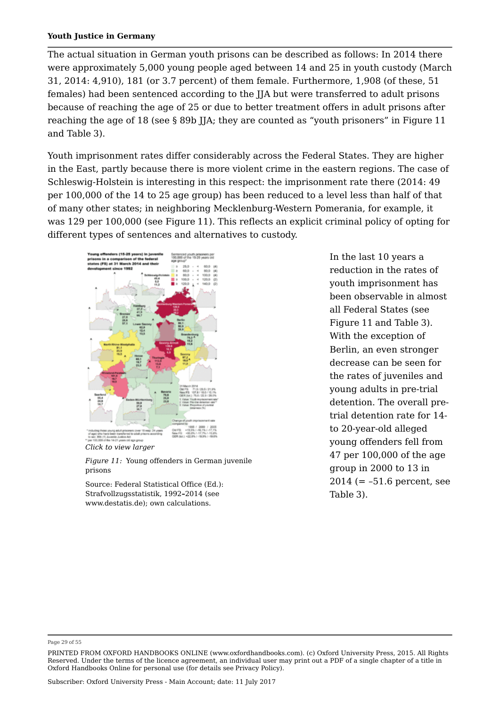The actual situation in German youth prisons can be described as follows: In 2014 there were approximately 5,000 young people aged between 14 and 25 in youth custody (March 31, 2014: 4,910), 181 (or 3.7 percent) of them female. Furthermore, 1,908 (of these, 51 females) had been sentenced according to the JJA but were transferred to adult prisons because of reaching the age of 25 or due to better treatment offers in adult prisons after reaching the age of 18 (see § 89b JJA; they are counted as "youth prisoners" in Figure 11 and Table 3).

Youth imprisonment rates differ considerably across the Federal States. They are higher in the East, partly because there is more violent crime in the eastern regions. The case of Schleswig-Holstein is interesting in this respect: the imprisonment rate there (2014: 49 per 100,000 of the 14 to 25 age group) has been reduced to a level less than half of that of many other states; in neighboring Mecklenburg-Western Pomerania, for example, it was 129 per 100,000 (see Figure 11). This reflects an explicit criminal policy of opting for different types of sentences and alternatives to custody.





*Figure 11:* Young offenders in German juvenile prisons

Source: Federal Statistical Office (Ed.): Strafvollzugsstatistik, 1992**–**2014 (see www.destatis.de); own calculations.

In the last 10 years a reduction in the rates of youth imprisonment has been observable in almost all Federal States (see Figure 11 and Table 3). With the exception of Berlin, an even stronger decrease can be seen for the rates of juveniles and young adults in pre-trial detention. The overall pretrial detention rate for 14 to 20-year-old alleged young offenders fell from 47 per 100,000 of the age group in 2000 to 13 in 2014 (= –51.6 percent, see Table 3).

Page 29 of 55

PRINTED FROM OXFORD HANDBOOKS ONLINE (www.oxfordhandbooks.com). (c) Oxford University Press, 2015. All Rights Reserved. Under the terms of the licence agreement, an individual user may print out a PDF of a single chapter of a title in Oxford Handbooks Online for personal use (for details see Privacy Policy).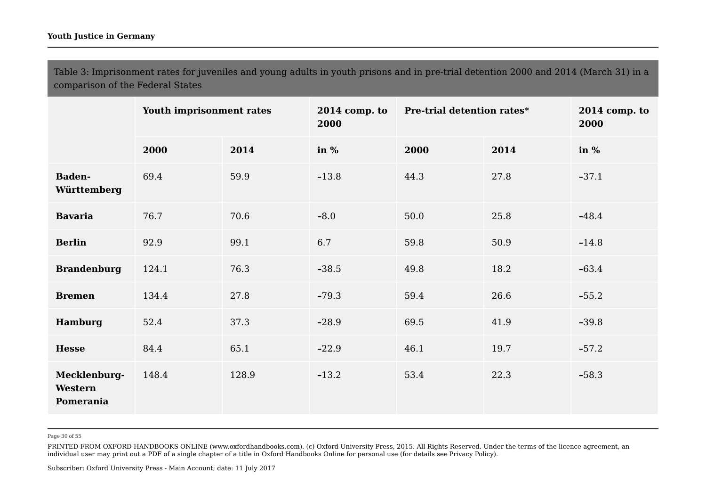Table 3: Imprisonment rates for juveniles and young adults in youth prisons and in pre-trial detention 2000 and 2014 (March 31) in a comparison of the Federal States

|                                      | Youth imprisonment rates |       | $2014$ comp. to<br>2000 | Pre-trial detention rates* |      | $2014$ comp. to<br>2000 |
|--------------------------------------|--------------------------|-------|-------------------------|----------------------------|------|-------------------------|
|                                      | 2000                     | 2014  | in $%$                  | 2000                       | 2014 | in $%$                  |
| <b>Baden-</b><br>Württemberg         | 69.4                     | 59.9  | $-13.8$                 | 44.3                       | 27.8 | $-37.1$                 |
| <b>Bavaria</b>                       | 76.7                     | 70.6  | $-8.0$                  | 50.0                       | 25.8 | $-48.4$                 |
| <b>Berlin</b>                        | 92.9                     | 99.1  | 6.7                     | 59.8                       | 50.9 | $-14.8$                 |
| <b>Brandenburg</b>                   | 124.1                    | 76.3  | $-38.5$                 | 49.8                       | 18.2 | $-63.4$                 |
| <b>Bremen</b>                        | 134.4                    | 27.8  | $-79.3$                 | 59.4                       | 26.6 | $-55.2$                 |
| Hamburg                              | 52.4                     | 37.3  | $-28.9$                 | 69.5                       | 41.9 | $-39.8$                 |
| <b>Hesse</b>                         | 84.4                     | 65.1  | $-22.9$                 | 46.1                       | 19.7 | $-57.2$                 |
| Mecklenburg-<br>Western<br>Pomerania | 148.4                    | 128.9 | $-13.2$                 | 53.4                       | 22.3 | $-58.3$                 |

Page 30 of 55

PRINTED FROM OXFORD HANDBOOKS ONLINE (www.oxfordhandbooks.com). (c) Oxford University Press, 2015. All Rights Reserved. Under the terms of the licence agreement, an individual user may print out a PDF of a single chapter of a title in Oxford Handbooks Online for personal use (for details see Privacy Policy).

Subscriber: Oxford University Press - Main Account; date: 11 July 2017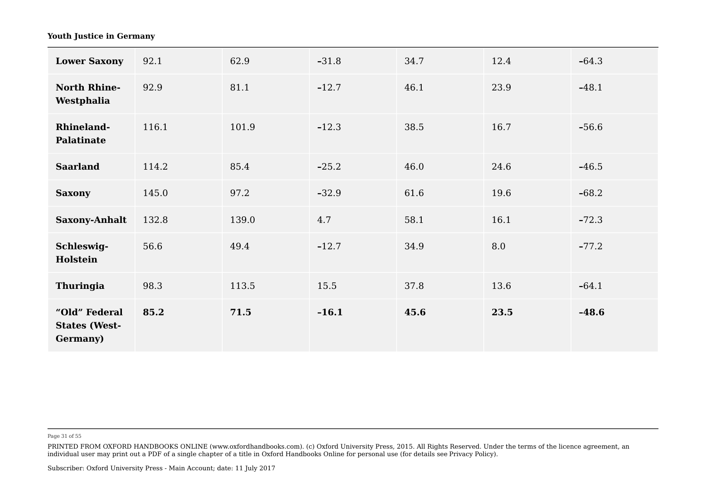| <b>Lower Saxony</b>                                       | 92.1  | 62.9  | $-31.8$ | 34.7 | 12.4 | $-64.3$ |  |
|-----------------------------------------------------------|-------|-------|---------|------|------|---------|--|
| <b>North Rhine-</b><br>Westphalia                         | 92.9  | 81.1  | $-12.7$ | 46.1 | 23.9 | $-48.1$ |  |
| <b>Rhineland-</b><br>Palatinate                           | 116.1 | 101.9 | $-12.3$ | 38.5 | 16.7 | $-56.6$ |  |
| <b>Saarland</b>                                           | 114.2 | 85.4  | $-25.2$ | 46.0 | 24.6 | $-46.5$ |  |
| <b>Saxony</b>                                             | 145.0 | 97.2  | $-32.9$ | 61.6 | 19.6 | $-68.2$ |  |
| <b>Saxony-Anhalt</b>                                      | 132.8 | 139.0 | 4.7     | 58.1 | 16.1 | $-72.3$ |  |
| Schleswig-<br>Holstein                                    | 56.6  | 49.4  | $-12.7$ | 34.9 | 8.0  | $-77.2$ |  |
| Thuringia                                                 | 98.3  | 113.5 | 15.5    | 37.8 | 13.6 | $-64.1$ |  |
| "Old" Federal<br><b>States (West-</b><br><b>Germany</b> ) | 85.2  | 71.5  | $-16.1$ | 45.6 | 23.5 | $-48.6$ |  |

Page 31 of 55

PRINTED FROM OXFORD HANDBOOKS ONLINE (www.oxfordhandbooks.com). (c) Oxford University Press, 2015. All Rights Reserved. Under the terms of the licence agreement, an individual user may print out a PDF of a single chapter of a title in Oxford Handbooks Online for personal use (for details see Privacy Policy).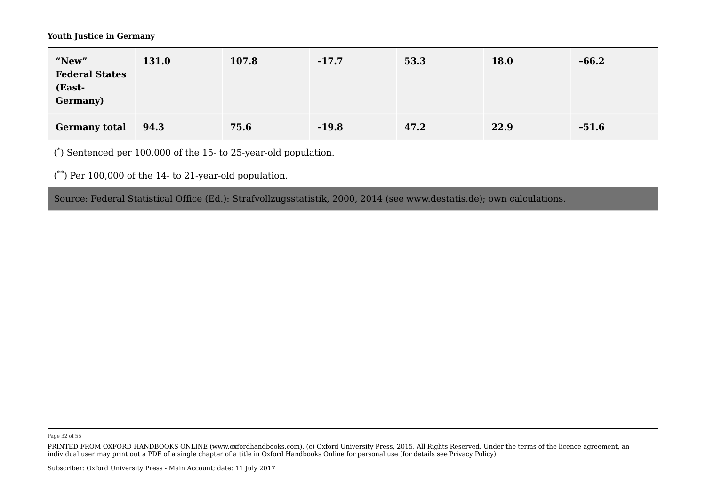| "New"<br><b>Federal States</b><br>(East-<br><b>Germany</b> ) | 131.0 | 107.8 | $-17.7$ | 53.3 | 18.0 | $-66.2$ |  |
|--------------------------------------------------------------|-------|-------|---------|------|------|---------|--|
| <b>Germany total</b>                                         | 94.3  | 75.6  | $-19.8$ | 47.2 | 22.9 | $-51.6$ |  |

 $(*)$  Sentenced per 100,000 of the 15- to 25-year-old population.

 $(*^*)$  Per 100,000 of the 14- to 21-year-old population.

Source: Federal Statistical Office (Ed.): Strafvollzugsstatistik, 2000, 2014 (see www.destatis.de); own calculations. \*

Page 32 of 55

PRINTED FROM OXFORD HANDBOOKS ONLINE (www.oxfordhandbooks.com). (c) Oxford University Press, 2015. All Rights Reserved. Under the terms of the licence agreement, an individual user may print out a PDF of a single chapter of a title in Oxford Handbooks Online for personal use (for details see Privacy Policy).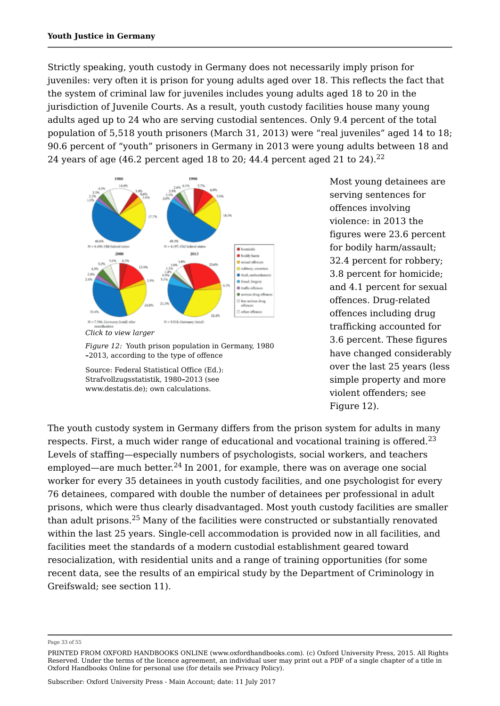Strictly speaking, youth custody in Germany does not necessarily imply prison for juveniles: very often it is prison for young adults aged over 18. This reflects the fact that the system of criminal law for juveniles includes young adults aged 18 to 20 in the jurisdiction of Juvenile Courts. As a result, youth custody facilities house many young adults aged up to 24 who are serving custodial sentences. Only 9.4 percent of the total population of 5,518 youth prisoners (March 31, 2013) were "real juveniles" aged 14 to 18; 90.6 percent of "youth" prisoners in Germany in 2013 were young adults between 18 and 24 years of age (46.2 percent aged 18 to 20; 44.4 percent aged 21 to 24). 22





Source: Federal Statistical Office (Ed.): Strafvollzugsstatistik, 1980**–**2013 (see www.destatis.de); own calculations.

Most young detainees are serving sentences for offences involving violence: in 2013 the figures were 23.6 percent for bodily harm/assault; 32.4 percent for robbery; 3.8 percent for homicide; and 4.1 percent for sexual offences. Drug-related offences including drug trafficking accounted for 3.6 percent. These figures have changed considerably over the last 25 years (less simple property and more violent offenders; see Figure 12).

The youth custody system in Germany differs from the prison system for adults in many respects. First, a much wider range of educational and vocational training is offered.<sup>23</sup> Levels of staffing—especially numbers of psychologists, social workers, and teachers employed—are much better. $^{24}$  In 2001, for example, there was on average one social worker for every 35 detainees in youth custody facilities, and one psychologist for every 76 detainees, compared with double the number of detainees per professional in adult prisons, which were thus clearly disadvantaged. Most youth custody facilities are smaller than adult prisons. $^{25}$  Many of the facilities were constructed or substantially renovated within the last 25 years. Single-cell accommodation is provided now in all facilities, and facilities meet the standards of a modern custodial establishment geared toward resocialization, with residential units and a range of training opportunities (for some recent data, see the results of an empirical study by the Department of Criminology in Greifswald; see section 11). 23

#### Page 33 of 55

PRINTED FROM OXFORD HANDBOOKS ONLINE (www.oxfordhandbooks.com). (c) Oxford University Press, 2015. All Rights Reserved. Under the terms of the licence agreement, an individual user may print out a PDF of a single chapter of a title in Oxford Handbooks Online for personal use (for details see Privacy Policy).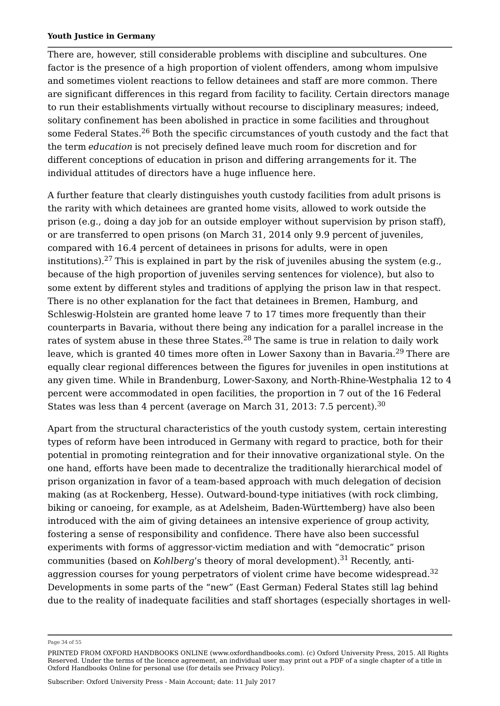There are, however, still considerable problems with discipline and subcultures. One factor is the presence of a high proportion of violent offenders, among whom impulsive and sometimes violent reactions to fellow detainees and staff are more common. There are significant differences in this regard from facility to facility. Certain directors manage to run their establishments virtually without recourse to disciplinary measures; indeed, solitary confinement has been abolished in practice in some facilities and throughout some Federal States.<sup>26</sup> Both the specific circumstances of youth custody and the fact that the term *education* is not precisely defined leave much room for discretion and for different conceptions of education in prison and differing arrangements for it. The individual attitudes of directors have a huge influence here.

A further feature that clearly distinguishes youth custody facilities from adult prisons is the rarity with which detainees are granted home visits, allowed to work outside the prison (e.g., doing a day job for an outside employer without supervision by prison staff), or are transferred to open prisons (on March 31, 2014 only 9.9 percent of juveniles, compared with 16.4 percent of detainees in prisons for adults, were in open institutions). $^{27}$  This is explained in part by the risk of juveniles abusing the system (e.g., because of the high proportion of juveniles serving sentences for violence), but also to some extent by different styles and traditions of applying the prison law in that respect. There is no other explanation for the fact that detainees in Bremen, Hamburg, and Schleswig-Holstein are granted home leave 7 to 17 times more frequently than their counterparts in Bavaria, without there being any indication for a parallel increase in the rates of system abuse in these three States. $^{28}$  The same is true in relation to daily work leave, which is granted 40 times more often in Lower Saxony than in Bavaria.<sup>29</sup> There are equally clear regional differences between the figures for juveniles in open institutions at any given time. While in Brandenburg, Lower-Saxony, and North-Rhine-Westphalia 12 to 4 percent were accommodated in open facilities, the proportion in 7 out of the 16 Federal States was less than 4 percent (average on March 31, 2013: 7.5 percent).<sup>30</sup> 30

Apart from the structural characteristics of the youth custody system, certain interesting types of reform have been introduced in Germany with regard to practice, both for their potential in promoting reintegration and for their innovative organizational style. On the one hand, efforts have been made to decentralize the traditionally hierarchical model of prison organization in favor of a team-based approach with much delegation of decision making (as at Rockenberg, Hesse). Outward-bound-type initiatives (with rock climbing, biking or canoeing, for example, as at Adelsheim, Baden-Württemberg) have also been introduced with the aim of giving detainees an intensive experience of group activity, fostering a sense of responsibility and confidence. There have also been successful experiments with forms of aggressor-victim mediation and with "democratic" prison communities (based on *Kohlberg'*s theory of moral development).<sup>31</sup> Recently, antiaggression courses for young perpetrators of violent crime have become widespread. $^\mathrm{32}$ Developments in some parts of the "new" (East German) Federal States still lag behind due to the reality of inadequate facilities and staff shortages (especially shortages in well-

Page 34 of 55

PRINTED FROM OXFORD HANDBOOKS ONLINE (www.oxfordhandbooks.com). (c) Oxford University Press, 2015. All Rights Reserved. Under the terms of the licence agreement, an individual user may print out a PDF of a single chapter of a title in Oxford Handbooks Online for personal use (for details see Privacy Policy).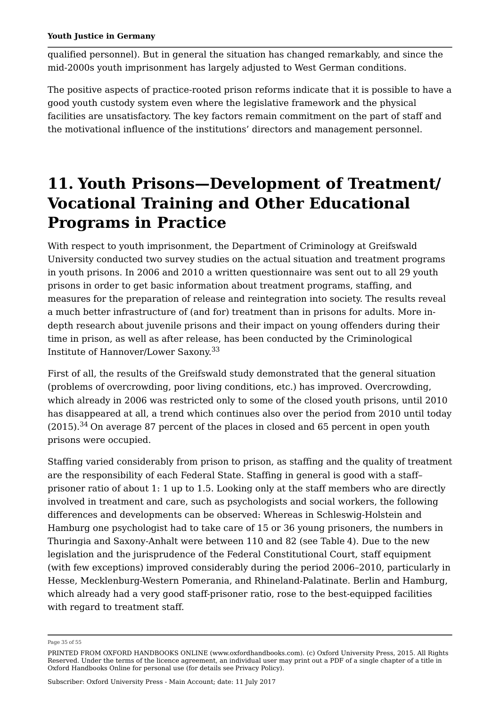qualified personnel). But in general the situation has changed remarkably, and since the mid-2000s youth imprisonment has largely adjusted to West German conditions.

The positive aspects of practice-rooted prison reforms indicate that it is possible to have a good youth custody system even where the legislative framework and the physical facilities are unsatisfactory. The key factors remain commitment on the part of staff and the motivational influence of the institutions' directors and management personnel.

## **11. Youth Prisons—Development of Treatment/ Vocational Training and Other Educational Programs in Practice**

With respect to youth imprisonment, the Department of Criminology at Greifswald University conducted two survey studies on the actual situation and treatment programs in youth prisons. In 2006 and 2010 a written questionnaire was sent out to all 29 youth prisons in order to get basic information about treatment programs, staffing, and measures for the preparation of release and reintegration into society. The results reveal a much better infrastructure of (and for) treatment than in prisons for adults. More indepth research about juvenile prisons and their impact on young offenders during their time in prison, as well as after release, has been conducted by the Criminological Institute of Hannover/Lower Saxony. 33

First of all, the results of the Greifswald study demonstrated that the general situation (problems of overcrowding, poor living conditions, etc.) has improved. Overcrowding, which already in 2006 was restricted only to some of the closed youth prisons, until 2010 has disappeared at all, a trend which continues also over the period from 2010 until today  $(2015).<sup>34</sup>$  On average 87 percent of the places in closed and 65 percent in open youth prisons were occupied.

Staffing varied considerably from prison to prison, as staffing and the quality of treatment are the responsibility of each Federal State. Staffing in general is good with a staff– prisoner ratio of about 1: 1 up to 1.5. Looking only at the staff members who are directly involved in treatment and care, such as psychologists and social workers, the following differences and developments can be observed: Whereas in Schleswig-Holstein and Hamburg one psychologist had to take care of 15 or 36 young prisoners, the numbers in Thuringia and Saxony-Anhalt were between 110 and 82 (see Table 4). Due to the new legislation and the jurisprudence of the Federal Constitutional Court, staff equipment (with few exceptions) improved considerably during the period 2006–2010, particularly in Hesse, Mecklenburg-Western Pomerania, and Rhineland-Palatinate. Berlin and Hamburg, which already had a very good staff-prisoner ratio, rose to the best-equipped facilities with regard to treatment staff.

Page 35 of 55

PRINTED FROM OXFORD HANDBOOKS ONLINE (www.oxfordhandbooks.com). (c) Oxford University Press, 2015. All Rights Reserved. Under the terms of the licence agreement, an individual user may print out a PDF of a single chapter of a title in Oxford Handbooks Online for personal use (for details see Privacy Policy).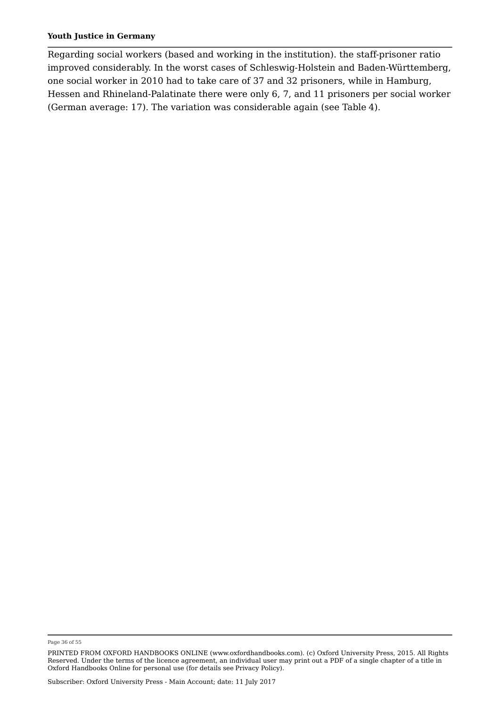Regarding social workers (based and working in the institution). the staff-prisoner ratio improved considerably. In the worst cases of Schleswig-Holstein and Baden-Württemberg, one social worker in 2010 had to take care of 37 and 32 prisoners, while in Hamburg, Hessen and Rhineland-Palatinate there were only 6, 7, and 11 prisoners per social worker (German average: 17). The variation was considerable again (see Table 4).

Page 36 of 55

PRINTED FROM OXFORD HANDBOOKS ONLINE (www.oxfordhandbooks.com). (c) Oxford University Press, 2015. All Rights Reserved. Under the terms of the licence agreement, an individual user may print out a PDF of a single chapter of a title in Oxford Handbooks Online for personal use (for details see Privacy Policy).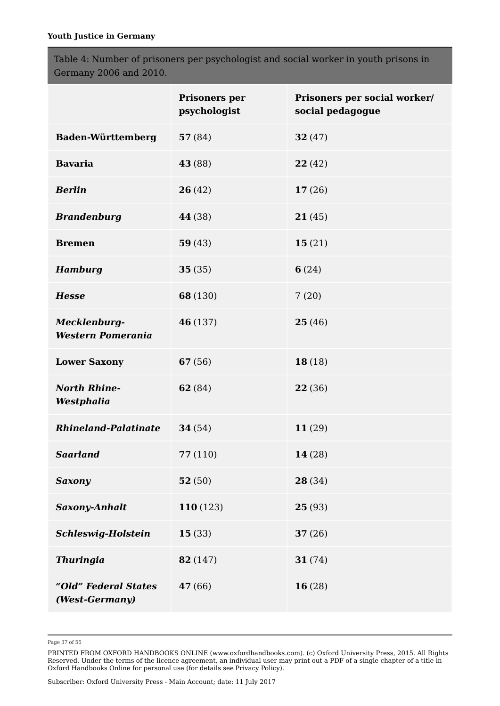Table 4: Number of prisoners per psychologist and social worker in youth prisons in Germany 2006 and 2010.

|                                          | Prisoners per<br>psychologist | Prisoners per social worker/<br>social pedagogue |
|------------------------------------------|-------------------------------|--------------------------------------------------|
| <b>Baden-Württemberg</b>                 | 57(84)                        | 32(47)                                           |
| <b>Bavaria</b>                           | <b>43</b> (88)                | 22(42)                                           |
| <b>Berlin</b>                            | 26(42)                        | 17(26)                                           |
| <b>Brandenburg</b>                       | 44 (38)                       | 21(45)                                           |
| <b>Bremen</b>                            | 59(43)                        | 15(21)                                           |
| <b>Hamburg</b>                           | 35(35)                        | 6(24)                                            |
| <b>Hesse</b>                             | 68 (130)                      | 7(20)                                            |
| Mecklenburg-<br><b>Western Pomerania</b> | 46 (137)                      | 25(46)                                           |
| <b>Lower Saxony</b>                      | 67(56)                        | 18(18)                                           |
| <b>North Rhine-</b><br>Westphalia        | 62 (84)                       | 22 (36)                                          |
| Rhineland-Palatinate                     | 34(54)                        | 11(29)                                           |
| <b>Saarland</b>                          | 77(110)                       | 14 (28)                                          |
| <b>Saxony</b>                            | 52(50)                        | 28(34)                                           |
| <b>Saxony-Anhalt</b>                     | 110 (123)                     | 25(93)                                           |
| Schleswig-Holstein                       | 15(33)                        | 37(26)                                           |
| <b>Thuringia</b>                         | 82 (147)                      | 31(74)                                           |
| "Old" Federal States<br>(West-Germany)   | 47 (66)                       | 16(28)                                           |

Page 37 of 55

PRINTED FROM OXFORD HANDBOOKS ONLINE (www.oxfordhandbooks.com). (c) Oxford University Press, 2015. All Rights Reserved. Under the terms of the licence agreement, an individual user may print out a PDF of a single chapter of a title in Oxford Handbooks Online for personal use (for details see Privacy Policy).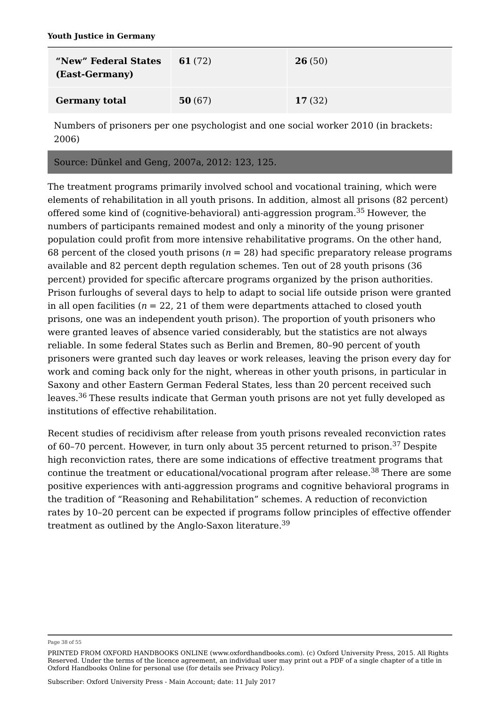| "New" Federal States<br>(East-Germany) | 61 $(72)$ | 26(50) |  |
|----------------------------------------|-----------|--------|--|
| <b>Germany total</b>                   | 50(67)    | 17(32) |  |

Numbers of prisoners per one psychologist and one social worker 2010 (in brackets: 2006)

## Source: Dünkel and Geng, 2007a, 2012: 123, 125.

The treatment programs primarily involved school and vocational training, which were elements of rehabilitation in all youth prisons. In addition, almost all prisons (82 percent) offered some kind of (cognitive-behavioral) anti-aggression program.<sup>35</sup> However, the numbers of participants remained modest and only a minority of the young prisoner population could profit from more intensive rehabilitative programs. On the other hand, 68 percent of the closed youth prisons  $(n = 28)$  had specific preparatory release programs available and 82 percent depth regulation schemes. Ten out of 28 youth prisons (36 percent) provided for specific aftercare programs organized by the prison authorities. Prison furloughs of several days to help to adapt to social life outside prison were granted in all open facilities ( $n = 22$ , 21 of them were departments attached to closed youth prisons, one was an independent youth prison). The proportion of youth prisoners who were granted leaves of absence varied considerably, but the statistics are not always reliable. In some federal States such as Berlin and Bremen, 80–90 percent of youth prisoners were granted such day leaves or work releases, leaving the prison every day for work and coming back only for the night, whereas in other youth prisons, in particular in Saxony and other Eastern German Federal States, less than 20 percent received such leaves.<sup>36</sup> These results indicate that German youth prisons are not yet fully developed as institutions of effective rehabilitation.

Recent studies of recidivism after release from youth prisons revealed reconviction rates of 60-70 percent. However, in turn only about 35 percent returned to prison.<sup>37</sup> Despite high reconviction rates, there are some indications of effective treatment programs that continue the treatment or educational/vocational program after release.<sup>38</sup> There are some positive experiences with anti-aggression programs and cognitive behavioral programs in the tradition of "Reasoning and Rehabilitation" schemes. A reduction of reconviction rates by 10–20 percent can be expected if programs follow principles of effective offender treatment as outlined by the Anglo-Saxon literature. 39

Page 38 of 55

PRINTED FROM OXFORD HANDBOOKS ONLINE (www.oxfordhandbooks.com). (c) Oxford University Press, 2015. All Rights Reserved. Under the terms of the licence agreement, an individual user may print out a PDF of a single chapter of a title in Oxford Handbooks Online for personal use (for details see Privacy Policy).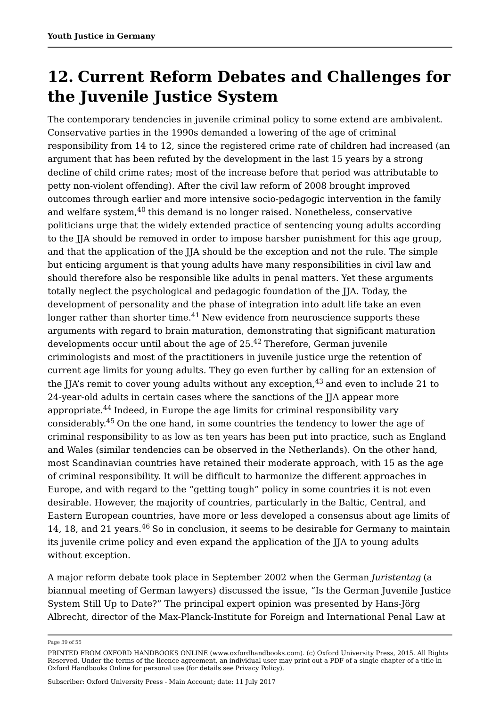## **12. Current Reform Debates and Challenges for the Juvenile Justice System**

The contemporary tendencies in juvenile criminal policy to some extend are ambivalent. Conservative parties in the 1990s demanded a lowering of the age of criminal responsibility from 14 to 12, since the registered crime rate of children had increased (an argument that has been refuted by the development in the last 15 years by a strong decline of child crime rates; most of the increase before that period was attributable to petty non-violent offending). After the civil law reform of 2008 brought improved outcomes through earlier and more intensive socio-pedagogic intervention in the family and welfare system, $^{40}$  this demand is no longer raised. Nonetheless, conservative politicians urge that the widely extended practice of sentencing young adults according to the JJA should be removed in order to impose harsher punishment for this age group, and that the application of the JJA should be the exception and not the rule. The simple but enticing argument is that young adults have many responsibilities in civil law and should therefore also be responsible like adults in penal matters. Yet these arguments totally neglect the psychological and pedagogic foundation of the JJA. Today, the development of personality and the phase of integration into adult life take an even longer rather than shorter time. $^{41}$  New evidence from neuroscience supports these arguments with regard to brain maturation, demonstrating that significant maturation developments occur until about the age of 25. $^{42}$  Therefore, German juvenile criminologists and most of the practitioners in juvenile justice urge the retention of current age limits for young adults. They go even further by calling for an extension of the JJA's remit to cover young adults without any exception, $^{43}$  and even to include 21 to 24-year-old adults in certain cases where the sanctions of the JJA appear more appropriate.<sup>44</sup> Indeed, in Europe the age limits for criminal responsibility vary considerably. $^{45}$  On the one hand, in some countries the tendency to lower the age of criminal responsibility to as low as ten years has been put into practice, such as England and Wales (similar tendencies can be observed in the Netherlands). On the other hand, most Scandinavian countries have retained their moderate approach, with 15 as the age of criminal responsibility. It will be difficult to harmonize the different approaches in Europe, and with regard to the "getting tough" policy in some countries it is not even desirable. However, the majority of countries, particularly in the Baltic, Central, and Eastern European countries, have more or less developed a consensus about age limits of 14, 18, and 21 years. $^{46}$  So in conclusion, it seems to be desirable for Germany to maintain its juvenile crime policy and even expand the application of the JJA to young adults without exception.

A major reform debate took place in September 2002 when the German *Juristentag* (a biannual meeting of German lawyers) discussed the issue, "Is the German Juvenile Justice System Still Up to Date?" The principal expert opinion was presented by Hans-Jörg Albrecht, director of the Max-Planck-Institute for Foreign and International Penal Law at

Page 39 of 55

PRINTED FROM OXFORD HANDBOOKS ONLINE (www.oxfordhandbooks.com). (c) Oxford University Press, 2015. All Rights Reserved. Under the terms of the licence agreement, an individual user may print out a PDF of a single chapter of a title in Oxford Handbooks Online for personal use (for details see Privacy Policy).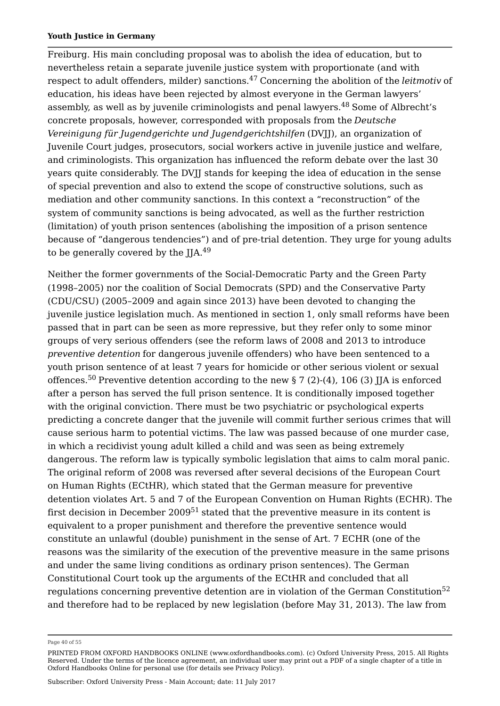Freiburg. His main concluding proposal was to abolish the idea of education, but to nevertheless retain a separate juvenile justice system with proportionate (and with respect to adult offenders, milder) sanctions.<sup>47</sup> Concerning the abolition of the *leitmotiv* of education, his ideas have been rejected by almost everyone in the German lawyers' assembly, as well as by juvenile criminologists and penal lawyers. $^{48}$  Some of Albrecht's concrete proposals, however, corresponded with proposals from the *Deutsche Vereinigung für Jugendgerichte und Jugendgerichtshilfen* (DVJJ), an organization of Juvenile Court judges, prosecutors, social workers active in juvenile justice and welfare, and criminologists. This organization has influenced the reform debate over the last 30 years quite considerably. The DVJJ stands for keeping the idea of education in the sense of special prevention and also to extend the scope of constructive solutions, such as mediation and other community sanctions. In this context a "reconstruction" of the system of community sanctions is being advocated, as well as the further restriction (limitation) of youth prison sentences (abolishing the imposition of a prison sentence because of "dangerous tendencies") and of pre-trial detention. They urge for young adults to be generally covered by the  $IIA<sup>49</sup>$ 49

Neither the former governments of the Social-Democratic Party and the Green Party (1998–2005) nor the coalition of Social Democrats (SPD) and the Conservative Party (CDU/CSU) (2005–2009 and again since 2013) have been devoted to changing the juvenile justice legislation much. As mentioned in section 1, only small reforms have been passed that in part can be seen as more repressive, but they refer only to some minor groups of very serious offenders (see the reform laws of 2008 and 2013 to introduce *preventive detention* for dangerous juvenile offenders) who have been sentenced to a youth prison sentence of at least 7 years for homicide or other serious violent or sexual offences. $^{50}$  Preventive detention according to the new § 7 (2)-(4), 106 (3) JJA is enforced after a person has served the full prison sentence. It is conditionally imposed together with the original conviction. There must be two psychiatric or psychological experts predicting a concrete danger that the juvenile will commit further serious crimes that will cause serious harm to potential victims. The law was passed because of one murder case, in which a recidivist young adult killed a child and was seen as being extremely dangerous. The reform law is typically symbolic legislation that aims to calm moral panic. The original reform of 2008 was reversed after several decisions of the European Court on Human Rights (ECtHR), which stated that the German measure for preventive detention violates Art. 5 and 7 of the European Convention on Human Rights (ECHR). The first decision in December 2009 $^{51}$  stated that the preventive measure in its content is equivalent to a proper punishment and therefore the preventive sentence would constitute an unlawful (double) punishment in the sense of Art. 7 ECHR (one of the reasons was the similarity of the execution of the preventive measure in the same prisons and under the same living conditions as ordinary prison sentences). The German Constitutional Court took up the arguments of the ECtHR and concluded that all regulations concerning preventive detention are in violation of the German Constitution $^{52}$ and therefore had to be replaced by new legislation (before May 31, 2013). The law from

Page 40 of 55

PRINTED FROM OXFORD HANDBOOKS ONLINE (www.oxfordhandbooks.com). (c) Oxford University Press, 2015. All Rights Reserved. Under the terms of the licence agreement, an individual user may print out a PDF of a single chapter of a title in Oxford Handbooks Online for personal use (for details see Privacy Policy).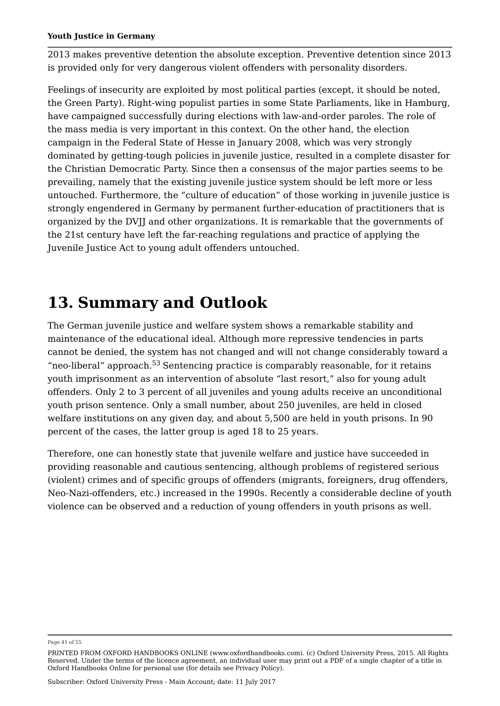2013 makes preventive detention the absolute exception. Preventive detention since 2013 is provided only for very dangerous violent offenders with personality disorders.

Feelings of insecurity are exploited by most political parties (except, it should be noted, the Green Party). Right-wing populist parties in some State Parliaments, like in Hamburg, have campaigned successfully during elections with law-and-order paroles. The role of the mass media is very important in this context. On the other hand, the election campaign in the Federal State of Hesse in January 2008, which was very strongly dominated by getting-tough policies in juvenile justice, resulted in a complete disaster for the Christian Democratic Party. Since then a consensus of the major parties seems to be prevailing, namely that the existing juvenile justice system should be left more or less untouched. Furthermore, the "culture of education" of those working in juvenile justice is strongly engendered in Germany by permanent further-education of practitioners that is organized by the DVJJ and other organizations. It is remarkable that the governments of the 21st century have left the far-reaching regulations and practice of applying the Juvenile Justice Act to young adult offenders untouched.

## **13. Summary and Outlook**

The German juvenile justice and welfare system shows a remarkable stability and maintenance of the educational ideal. Although more repressive tendencies in parts cannot be denied, the system has not changed and will not change considerably toward a "neo-liberal" approach. $^{53}$  Sentencing practice is comparably reasonable, for it retains youth imprisonment as an intervention of absolute "last resort," also for young adult offenders. Only 2 to 3 percent of all juveniles and young adults receive an unconditional youth prison sentence. Only a small number, about 250 juveniles, are held in closed welfare institutions on any given day, and about 5,500 are held in youth prisons. In 90 percent of the cases, the latter group is aged 18 to 25 years.

Therefore, one can honestly state that juvenile welfare and justice have succeeded in providing reasonable and cautious sentencing, although problems of registered serious (violent) crimes and of specific groups of offenders (migrants, foreigners, drug offenders, Neo-Nazi-offenders, etc.) increased in the 1990s. Recently a considerable decline of youth violence can be observed and a reduction of young offenders in youth prisons as well.

Page 41 of 55

PRINTED FROM OXFORD HANDBOOKS ONLINE (www.oxfordhandbooks.com). (c) Oxford University Press, 2015. All Rights Reserved. Under the terms of the licence agreement, an individual user may print out a PDF of a single chapter of a title in Oxford Handbooks Online for personal use (for details see Privacy Policy).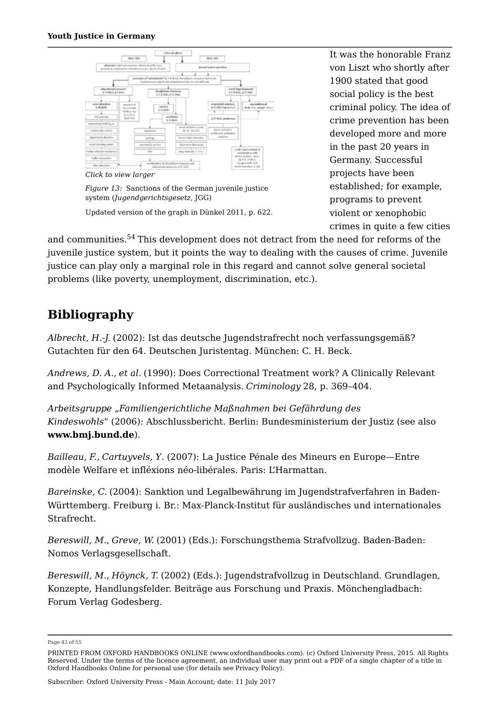

*Figure 13:* Sanctions of the German juvenile justice system (*Jugendgerichtsgesetz*, JGG)

Updated version of the graph in Dünkel 2011, p. 622.

It was the honorable Franz von Liszt who shortly after 1900 stated that good social policy is the best criminal policy. The idea of crime prevention has been developed more and more in the past 20 years in Germany. Successful projects have been established; for example, programs to prevent violent or xenophobic crimes in quite a few cities

and communities.<sup>54</sup> This development does not detract from the need for reforms of the juvenile justice system, but it points the way to dealing with the causes of crime. Juvenile justice can play only a marginal role in this regard and cannot solve general societal problems (like poverty, unemployment, discrimination, etc.).

## **Bibliography**

*Albrecht, H.-J.* (2002): Ist das deutsche Jugendstrafrecht noch verfassungsgemäß? Gutachten für den 64. Deutschen Juristentag. München: C. H. Beck.

*Andrews, D. A.*, *et al.* (1990): Does Correctional Treatment work? A Clinically Relevant and Psychologically Informed Metaanalysis. *Criminology* 28, p. 369–404.

*Arbeitsgruppe "Familiengerichtliche Maßnahmen bei Gefährdung des Kindeswohls*" (2006): Abschlussbericht. Berlin: Bundesministerium der Justiz (see also **www.bmj.bund.de**).

*Bailleau, F.*, *Cartuyvels, Y*. (2007): La Justice Pénale des Mineurs en Europe—Entre modèle Welfare et infléxions néo-libérales. Paris: L'Harmattan.

*Bareinske, C.* (2004): Sanktion und Legalbewährung im Jugendstrafverfahren in Baden-Württemberg. Freiburg i. Br.: Max-Planck-Institut für ausländisches und internationales Strafrecht.

*Bereswill, M.*, *Greve, W.* (2001) (Eds.): Forschungsthema Strafvollzug. Baden-Baden: Nomos Verlagsgesellschaft.

*Bereswill, M.*, *Höynck, T.* (2002) (Eds.): Jugendstrafvollzug in Deutschland. Grundlagen, Konzepte, Handlungsfelder. Beiträge aus Forschung und Praxis. Mönchengladbach: Forum Verlag Godesberg.

Page 42 of 55

PRINTED FROM OXFORD HANDBOOKS ONLINE (www.oxfordhandbooks.com). (c) Oxford University Press, 2015. All Rights Reserved. Under the terms of the licence agreement, an individual user may print out a PDF of a single chapter of a title in Oxford Handbooks Online for personal use (for details see Privacy Policy).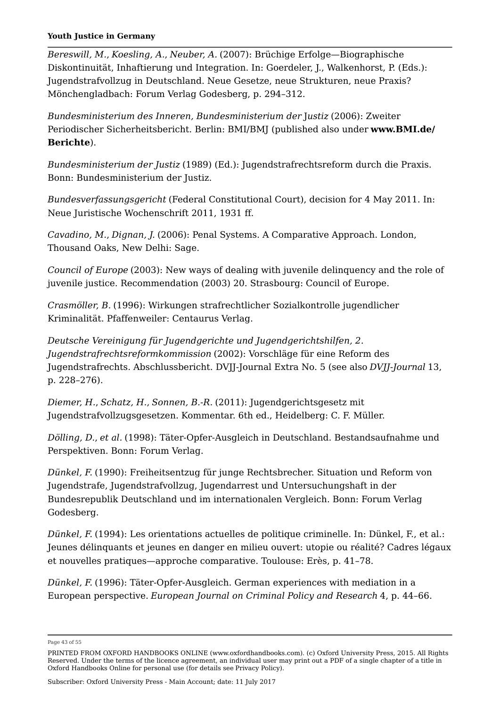*Bereswill, M.*, *Koesling, A.*, *Neuber, A.* (2007): Brüchige Erfolge—Biographische Diskontinuität, Inhaftierung und Integration. In: Goerdeler, J., Walkenhorst, P. (Eds.): Jugendstrafvollzug in Deutschland. Neue Gesetze, neue Strukturen, neue Praxis? Mönchengladbach: Forum Verlag Godesberg, p. 294–312.

*Bundesministerium des Inneren, Bundesministerium der* J*ustiz* (2006): Zweiter Periodischer Sicherheitsbericht. Berlin: BMI/BMJ (published also under **www.BMI.de/ Berichte**).

*Bundesministerium der Justiz* (1989) (Ed.): Jugendstrafrechtsreform durch die Praxis. Bonn: Bundesministerium der Justiz.

*Bundesverfassungsgericht* (Federal Constitutional Court), decision for 4 May 2011. In: Neue Juristische Wochenschrift 2011, 1931 ff.

*Cavadino, M.*, *Dignan, J.* (2006): Penal Systems. A Comparative Approach. London, Thousand Oaks, New Delhi: Sage.

*Council of Europe* (2003): New ways of dealing with juvenile delinquency and the role of juvenile justice. Recommendation (2003) 20. Strasbourg: Council of Europe.

*Crasmöller, B.* (1996): Wirkungen strafrechtlicher Sozialkontrolle jugendlicher Kriminalität. Pfaffenweiler: Centaurus Verlag.

*Deutsche Vereinigung für Jugendgerichte und Jugendgerichtshilfen, 2. Jugendstrafrechtsreformkommission* (2002): Vorschläge für eine Reform des Jugendstrafrechts. Abschlussbericht. DVJJ-Journal Extra No. 5 (see also *DVJJ-Journal* 13, p. 228–276).

*Diemer, H.*, *Schatz, H.*, *Sonnen, B.-R.* (2011): Jugendgerichtsgesetz mit Jugendstrafvollzugsgesetzen. Kommentar. 6th ed., Heidelberg: C. F. Müller.

*Dölling, D.*, *et al.* (1998): Täter-Opfer-Ausgleich in Deutschland. Bestandsaufnahme und Perspektiven. Bonn: Forum Verlag.

*Dünkel, F.* (1990): Freiheitsentzug für junge Rechtsbrecher. Situation und Reform von Jugendstrafe, Jugendstrafvollzug, Jugendarrest und Untersuchungshaft in der Bundesrepublik Deutschland und im internationalen Vergleich. Bonn: Forum Verlag Godesberg.

*Dünkel, F.* (1994): Les orientations actuelles de politique criminelle. In: Dünkel, F., et al.: Jeunes délinquants et jeunes en danger en milieu ouvert: utopie ou réalité? Cadres légaux et nouvelles pratiques—approche comparative. Toulouse: Erès, p. 41–78.

*Dünkel, F.* (1996): Täter-Opfer-Ausgleich. German experiences with mediation in a European perspective. *European Journal on Criminal Policy and Research* 4, p. 44–66.

Page 43 of 55

PRINTED FROM OXFORD HANDBOOKS ONLINE (www.oxfordhandbooks.com). (c) Oxford University Press, 2015. All Rights Reserved. Under the terms of the licence agreement, an individual user may print out a PDF of a single chapter of a title in Oxford Handbooks Online for personal use (for details see Privacy Policy).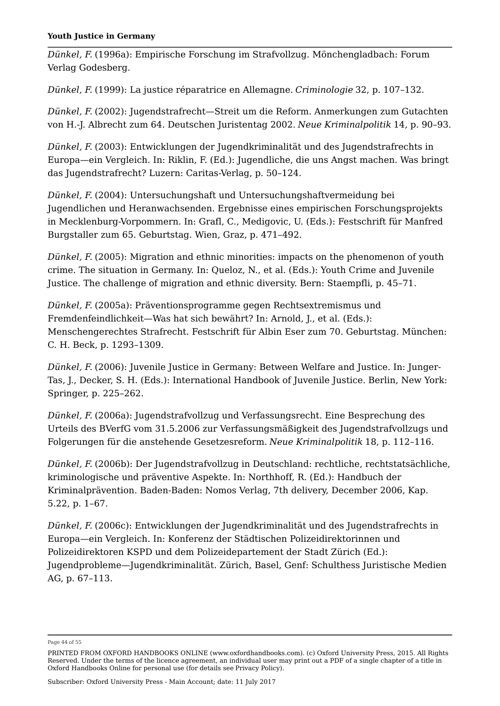*Dünkel, F.* (1996a): Empirische Forschung im Strafvollzug. Mönchengladbach: Forum Verlag Godesberg.

*Dünkel, F.* (1999): La justice réparatrice en Allemagne. *Criminologie* 32, p. 107–132.

*Dünkel, F.* (2002): Jugendstrafrecht—Streit um die Reform. Anmerkungen zum Gutachten von H.-J. Albrecht zum 64. Deutschen Juristentag 2002. *Neue Kriminalpolitik* 14, p. 90–93.

*Dünkel, F.* (2003): Entwicklungen der Jugendkriminalität und des Jugendstrafrechts in Europa—ein Vergleich. In: Riklin, F. (Ed.): Jugendliche, die uns Angst machen. Was bringt das Jugendstrafrecht? Luzern: Caritas-Verlag, p. 50–124.

*Dünkel, F.* (2004): Untersuchungshaft und Untersuchungshaftvermeidung bei Jugendlichen und Heranwachsenden. Ergebnisse eines empirischen Forschungsprojekts in Mecklenburg-Vorpommern. In: Grafl, C., Medigovic, U. (Eds.): Festschrift für Manfred Burgstaller zum 65. Geburtstag. Wien, Graz, p. 471–492.

*Dünkel, F.* (2005): Migration and ethnic minorities: impacts on the phenomenon of youth crime. The situation in Germany. In: Queloz, N., et al. (Eds.): Youth Crime and Juvenile Justice. The challenge of migration and ethnic diversity. Bern: Staempfli, p. 45–71.

*Dünkel, F.* (2005a): Präventionsprogramme gegen Rechtsextremismus und Fremdenfeindlichkeit—Was hat sich bewährt? In: Arnold, J., et al. (Eds.): Menschengerechtes Strafrecht. Festschrift für Albin Eser zum 70. Geburtstag. München: C. H. Beck, p. 1293–1309.

*Dünkel, F.* (2006): Juvenile Justice in Germany: Between Welfare and Justice. In: Junger-Tas, J., Decker, S. H. (Eds.): International Handbook of Juvenile Justice. Berlin, New York: Springer, p. 225–262.

*Dünkel, F.* (2006a): Jugendstrafvollzug und Verfassungsrecht. Eine Besprechung des Urteils des BVerfG vom 31.5.2006 zur Verfassungsmäßigkeit des Jugendstrafvollzugs und Folgerungen für die anstehende Gesetzesreform. *Neue Kriminalpolitik* 18, p. 112–116.

*Dünkel, F.* (2006b): Der Jugendstrafvollzug in Deutschland: rechtliche, rechtstatsächliche, kriminologische und präventive Aspekte. In: Northhoff, R. (Ed.): Handbuch der Kriminalprävention. Baden-Baden: Nomos Verlag, 7th delivery, December 2006, Kap. 5.22, p. 1–67.

*Dünkel, F.* (2006c): Entwicklungen der Jugendkriminalität und des Jugendstrafrechts in Europa—ein Vergleich. In: Konferenz der Städtischen Polizeidirektorinnen und Polizeidirektoren KSPD und dem Polizeidepartement der Stadt Zürich (Ed.): Jugendprobleme—Jugendkriminalität. Zürich, Basel, Genf: Schulthess Juristische Medien AG, p. 67–113.

Page 44 of 55

PRINTED FROM OXFORD HANDBOOKS ONLINE (www.oxfordhandbooks.com). (c) Oxford University Press, 2015. All Rights Reserved. Under the terms of the licence agreement, an individual user may print out a PDF of a single chapter of a title in Oxford Handbooks Online for personal use (for details see Privacy Policy).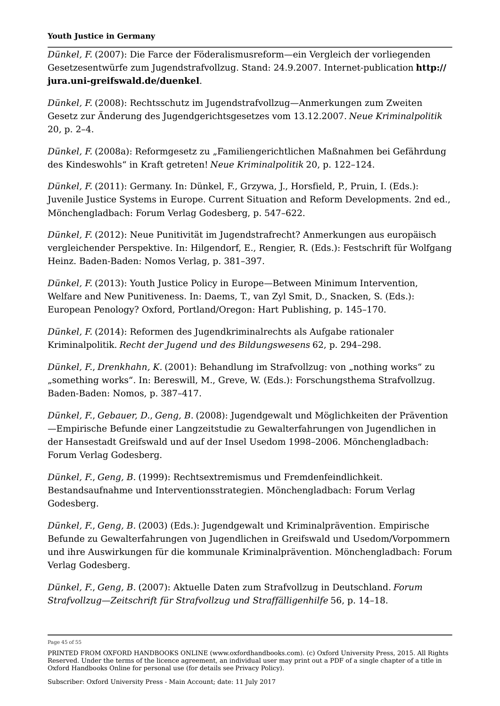*Dünkel, F.* (2007): Die Farce der Föderalismusreform—ein Vergleich der vorliegenden Gesetzesentwürfe zum Jugendstrafvollzug. Stand: 24.9.2007. Internet-publication **http:// jura.uni-greifswald.de/duenkel**.

*Dünkel, F.* (2008): Rechtsschutz im Jugendstrafvollzug—Anmerkungen zum Zweiten Gesetz zur Änderung des Jugendgerichtsgesetzes vom 13.12.2007. *Neue Kriminalpolitik* 20, p. 2–4.

*Dünkel, F.* (2008a): Reformgesetz zu "Familiengerichtlichen Maßnahmen bei Gefährdung des Kindeswohls" in Kraft getreten! *Neue Kriminalpolitik* 20, p. 122–124.

*Dünkel, F.* (2011): Germany. In: Dünkel, F., Grzywa, J., Horsfield, P., Pruin, I. (Eds.): Juvenile Justice Systems in Europe. Current Situation and Reform Developments. 2nd ed., Mönchengladbach: Forum Verlag Godesberg, p. 547–622.

*Dünkel, F.* (2012): Neue Punitivität im Jugendstrafrecht? Anmerkungen aus europäisch vergleichender Perspektive. In: Hilgendorf, E., Rengier, R. (Eds.): Festschrift für Wolfgang Heinz. Baden-Baden: Nomos Verlag, p. 381–397.

*Dünkel, F.* (2013): Youth Justice Policy in Europe—Between Minimum Intervention, Welfare and New Punitiveness. In: Daems, T., van Zyl Smit, D., Snacken, S. (Eds.): European Penology? Oxford, Portland/Oregon: Hart Publishing, p. 145–170.

*Dünkel, F.* (2014): Reformen des Jugendkriminalrechts als Aufgabe rationaler Kriminalpolitik. *Recht der Jugend und des Bildungswesens* 62, p. 294–298.

*Dünkel, F., Drenkhahn, K.* (2001): Behandlung im Strafvollzug: von "nothing works" zu "something works". In: Bereswill, M., Greve, W. (Eds.): Forschungsthema Strafvollzug. Baden-Baden: Nomos, p. 387–417.

*Dünkel, F.*, *Gebauer, D.*, *Geng, B.* (2008): Jugendgewalt und Möglichkeiten der Prävention —Empirische Befunde einer Langzeitstudie zu Gewalterfahrungen von Jugendlichen in der Hansestadt Greifswald und auf der Insel Usedom 1998–2006. Mönchengladbach: Forum Verlag Godesberg.

*Dünkel, F.*, *Geng, B.* (1999): Rechtsextremismus und Fremdenfeindlichkeit. Bestandsaufnahme und Interventionsstrategien. Mönchengladbach: Forum Verlag Godesberg.

*Dünkel, F.*, *Geng, B.* (2003) (Eds.): Jugendgewalt und Kriminalprävention. Empirische Befunde zu Gewalterfahrungen von Jugendlichen in Greifswald und Usedom/Vorpommern und ihre Auswirkungen für die kommunale Kriminalprävention. Mönchengladbach: Forum Verlag Godesberg.

*Dünkel, F.*, *Geng, B.* (2007): Aktuelle Daten zum Strafvollzug in Deutschland. *Forum Strafvollzug*—*Zeitschrift für Strafvollzug und Straffälligenhilfe* 56, p. 14–18.

Page 45 of 55

PRINTED FROM OXFORD HANDBOOKS ONLINE (www.oxfordhandbooks.com). (c) Oxford University Press, 2015. All Rights Reserved. Under the terms of the licence agreement, an individual user may print out a PDF of a single chapter of a title in Oxford Handbooks Online for personal use (for details see Privacy Policy).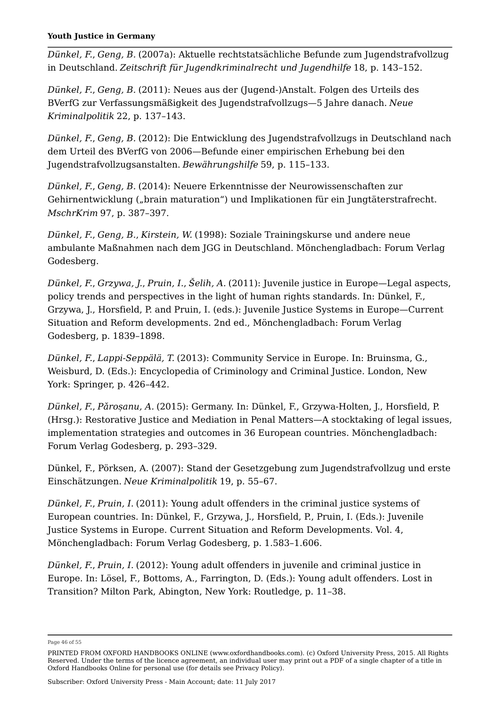*Dünkel, F.*, *Geng, B.* (2007a): Aktuelle rechtstatsächliche Befunde zum Jugendstrafvollzug in Deutschland. *Zeitschrift für Jugendkriminalrecht und Jugendhilfe* 18, p. 143–152.

*Dünkel, F.*, *Geng, B.* (2011): Neues aus der (Jugend-)Anstalt. Folgen des Urteils des BVerfG zur Verfassungsmäßigkeit des Jugendstrafvollzugs—5 Jahre danach. *Neue Kriminalpolitik* 22, p. 137–143.

*Dünkel, F.*, *Geng, B.* (2012): Die Entwicklung des Jugendstrafvollzugs in Deutschland nach dem Urteil des BVerfG von 2006—Befunde einer empirischen Erhebung bei den Jugendstrafvollzugsanstalten. *Bewährungshilfe* 59, p. 115–133.

*Dünkel, F.*, *Geng, B.* (2014): Neuere Erkenntnisse der Neurowissenschaften zur Gehirnentwicklung ("brain maturation") und Implikationen für ein Jungtäterstrafrecht. *MschrKrim* 97, p. 387–397.

*Dünkel, F.*, *Geng, B.*, *Kirstein, W.* (1998): Soziale Trainingskurse und andere neue ambulante Maßnahmen nach dem JGG in Deutschland. Mönchengladbach: Forum Verlag Godesberg.

*Dünkel, F.*, *Grzywa, J.*, *Pruin, I.*, *Šelih, A.* (2011): Juvenile justice in Europe—Legal aspects, policy trends and perspectives in the light of human rights standards. In: Dünkel, F., Grzywa, J., Horsfield, P. and Pruin, I. (eds.): Juvenile Justice Systems in Europe—Current Situation and Reform developments. 2nd ed., Mönchengladbach: Forum Verlag Godesberg, p. 1839–1898.

*Dünkel, F.*, *Lappi-Seppälä, T.* (2013): Community Service in Europe. In: Bruinsma, G., Weisburd, D. (Eds.): Encyclopedia of Criminology and Criminal Justice. London, New York: Springer, p. 426–442.

*Dünkel, F.*, *Pǎroșanu, A.* (2015): Germany. In: Dünkel, F., Grzywa-Holten, J., Horsfield, P. (Hrsg.): Restorative Justice and Mediation in Penal Matters—A stocktaking of legal issues, implementation strategies and outcomes in 36 European countries. Mönchengladbach: Forum Verlag Godesberg, p. 293–329.

Dünkel, F., Pörksen, A. (2007): Stand der Gesetzgebung zum Jugendstrafvollzug und erste Einschätzungen. *Neue Kriminalpolitik* 19, p. 55–67.

*Dünkel, F.*, *Pruin, I.* (2011): Young adult offenders in the criminal justice systems of European countries. In: Dünkel, F., Grzywa, J., Horsfield, P., Pruin, I. (Eds.): Juvenile Justice Systems in Europe. Current Situation and Reform Developments. Vol. 4, Mönchengladbach: Forum Verlag Godesberg, p. 1.583–1.606.

*Dünkel, F.*, *Pruin, I.* (2012): Young adult offenders in juvenile and criminal justice in Europe. In: Lösel, F., Bottoms, A., Farrington, D. (Eds.): Young adult offenders. Lost in Transition? Milton Park, Abington, New York: Routledge, p. 11–38.

Page 46 of 55

PRINTED FROM OXFORD HANDBOOKS ONLINE (www.oxfordhandbooks.com). (c) Oxford University Press, 2015. All Rights Reserved. Under the terms of the licence agreement, an individual user may print out a PDF of a single chapter of a title in Oxford Handbooks Online for personal use (for details see Privacy Policy).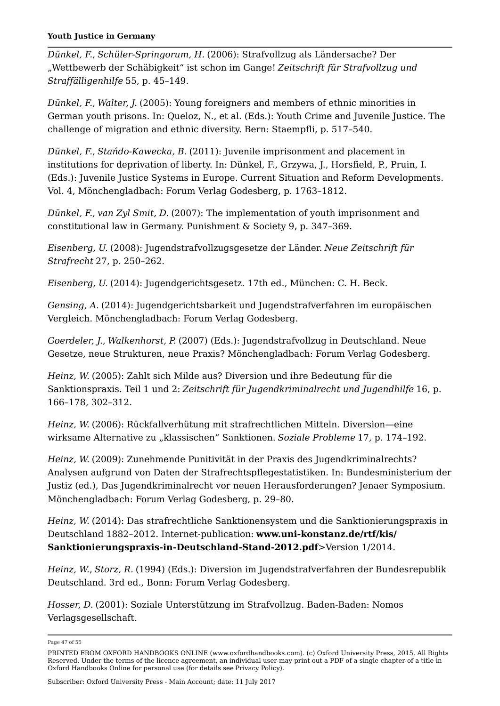*Dünkel, F.*, *Schüler-Springorum, H.* (2006): Strafvollzug als Ländersache? Der "Wettbewerb der Schäbigkeit" ist schon im Gange! *Zeitschrift für Strafvollzug und Straffälligenhilfe* 55, p. 45–149.

*Dünkel, F.*, *Walter, J.* (2005): Young foreigners and members of ethnic minorities in German youth prisons. In: Queloz, N., et al. (Eds.): Youth Crime and Juvenile Justice. The challenge of migration and ethnic diversity. Bern: Staempfli, p. 517–540.

*Dünkel, F.*, *Stańdo-Kawecka, B.* (2011): Juvenile imprisonment and placement in institutions for deprivation of liberty. In: Dünkel, F., Grzywa, J., Horsfield, P., Pruin, I. (Eds.): Juvenile Justice Systems in Europe. Current Situation and Reform Developments. Vol. 4, Mönchengladbach: Forum Verlag Godesberg, p. 1763–1812.

*Dünkel, F.*, *van Zyl Smit, D.* (2007): The implementation of youth imprisonment and constitutional law in Germany. Punishment & Society 9, p. 347–369.

*Eisenberg, U.* (2008): Jugendstrafvollzugsgesetze der Länder. *Neue Zeitschrift für Strafrecht* 27, p. 250–262.

*Eisenberg, U.* (2014): Jugendgerichtsgesetz. 17th ed., München: C. H. Beck.

*Gensing, A.* (2014): Jugendgerichtsbarkeit und Jugendstrafverfahren im europäischen Vergleich. Mönchengladbach: Forum Verlag Godesberg.

*Goerdeler, J.*, *Walkenhorst, P.* (2007) (Eds.): Jugendstrafvollzug in Deutschland. Neue Gesetze, neue Strukturen, neue Praxis? Mönchengladbach: Forum Verlag Godesberg.

*Heinz, W.* (2005): Zahlt sich Milde aus? Diversion und ihre Bedeutung für die Sanktionspraxis. Teil 1 und 2: *Zeitschrift für Jugendkriminalrecht und Jugendhilfe* 16, p. 166–178, 302–312.

*Heinz, W.* (2006): Rückfallverhütung mit strafrechtlichen Mitteln. Diversion—eine wirksame Alternative zu "klassischen" Sanktionen. *Soziale Probleme* 17, p. 174-192.

*Heinz, W.* (2009): Zunehmende Punitivität in der Praxis des Jugendkriminalrechts? Analysen aufgrund von Daten der Strafrechtspflegestatistiken. In: Bundesministerium der Justiz (ed.), Das Jugendkriminalrecht vor neuen Herausforderungen? Jenaer Symposium. Mönchengladbach: Forum Verlag Godesberg, p. 29–80.

*Heinz, W.* (2014): Das strafrechtliche Sanktionensystem und die Sanktionierungspraxis in Deutschland 1882–2012. Internet-publication: **www.uni-konstanz.de/rtf/kis/ Sanktionierungspraxis-in-Deutschland-Stand-2012.pdf**>Version 1/2014.

*Heinz, W.*, *Storz, R.* (1994) (Eds.): Diversion im Jugendstrafverfahren der Bundesrepublik Deutschland. 3rd ed., Bonn: Forum Verlag Godesberg.

*Hosser, D.* (2001): Soziale Unterstützung im Strafvollzug. Baden-Baden: Nomos Verlagsgesellschaft.

Page 47 of 55

Subscriber: Oxford University Press - Main Account; date: 11 July 2017

PRINTED FROM OXFORD HANDBOOKS ONLINE (www.oxfordhandbooks.com). (c) Oxford University Press, 2015. All Rights Reserved. Under the terms of the licence agreement, an individual user may print out a PDF of a single chapter of a title in Oxford Handbooks Online for personal use (for details see Privacy Policy).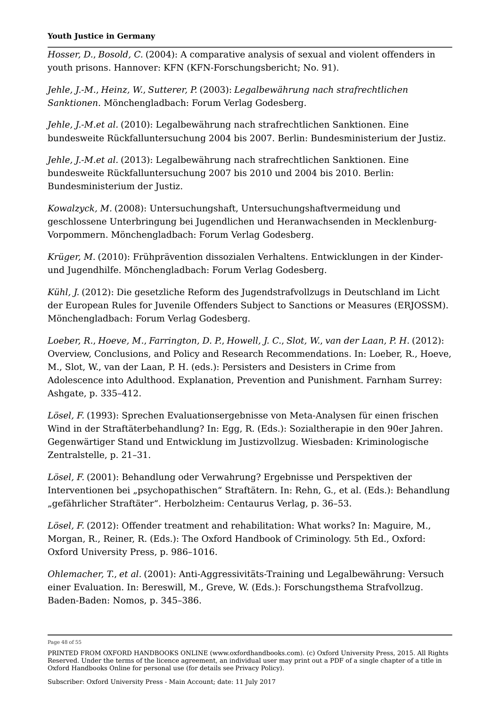*Hosser, D.*, *Bosold, C.* (2004): A comparative analysis of sexual and violent offenders in youth prisons. Hannover: KFN (KFN-Forschungsbericht; No. 91).

*Jehle, J.-M.*, *Heinz, W.*, *Sutterer, P.* (2003): *Legalbewährung nach strafrechtlichen Sanktionen*. Mönchengladbach: Forum Verlag Godesberg.

*Jehle, J.-M.et al.* (2010): Legalbewährung nach strafrechtlichen Sanktionen. Eine bundesweite Rückfalluntersuchung 2004 bis 2007. Berlin: Bundesministerium der Justiz.

*Jehle, J.-M.et al.* (2013): Legalbewährung nach strafrechtlichen Sanktionen. Eine bundesweite Rückfalluntersuchung 2007 bis 2010 und 2004 bis 2010. Berlin: Bundesministerium der Justiz.

*Kowalzyck, M.* (2008): Untersuchungshaft, Untersuchungshaftvermeidung und geschlossene Unterbringung bei Jugendlichen und Heranwachsenden in Mecklenburg-Vorpommern. Mönchengladbach: Forum Verlag Godesberg.

*Krüger, M.* (2010): Frühprävention dissozialen Verhaltens. Entwicklungen in der Kinderund Jugendhilfe. Mönchengladbach: Forum Verlag Godesberg.

*Kühl, J.* (2012): Die gesetzliche Reform des Jugendstrafvollzugs in Deutschland im Licht der European Rules for Juvenile Offenders Subject to Sanctions or Measures (ERJOSSM). Mönchengladbach: Forum Verlag Godesberg.

*Loeber, R.*, *Hoeve, M.*, *Farrington, D. P.*, *Howell, J. C.*, *Slot, W.*, *van der Laan, P. H.* (2012): Overview, Conclusions, and Policy and Research Recommendations. In: Loeber, R., Hoeve, M., Slot, W., van der Laan, P. H. (eds.): Persisters and Desisters in Crime from Adolescence into Adulthood. Explanation, Prevention and Punishment. Farnham Surrey: Ashgate, p. 335–412.

*Lösel, F.* (1993): Sprechen Evaluationsergebnisse von Meta-Analysen für einen frischen Wind in der Straftäterbehandlung? In: Egg, R. (Eds.): Sozialtherapie in den 90er Jahren. Gegenwärtiger Stand und Entwicklung im Justizvollzug. Wiesbaden: Kriminologische Zentralstelle, p. 21–31.

*Lösel, F.* (2001): Behandlung oder Verwahrung? Ergebnisse und Perspektiven der Interventionen bei "psychopathischen" Straftätern. In: Rehn, G., et al. (Eds.): Behandlung "gefährlicher Straftäter". Herbolzheim: Centaurus Verlag, p. 36–53.

*Lösel, F.* (2012): Offender treatment and rehabilitation: What works? In: Maguire, M., Morgan, R., Reiner, R. (Eds.): The Oxford Handbook of Criminology. 5th Ed., Oxford: Oxford University Press, p. 986–1016.

*Ohlemacher, T.*, *et al.* (2001): Anti-Aggressivitäts-Training und Legalbewährung: Versuch einer Evaluation. In: Bereswill, M., Greve, W. (Eds.): Forschungsthema Strafvollzug. Baden-Baden: Nomos, p. 345–386.

Page 48 of 55

PRINTED FROM OXFORD HANDBOOKS ONLINE (www.oxfordhandbooks.com). (c) Oxford University Press, 2015. All Rights Reserved. Under the terms of the licence agreement, an individual user may print out a PDF of a single chapter of a title in Oxford Handbooks Online for personal use (for details see Privacy Policy).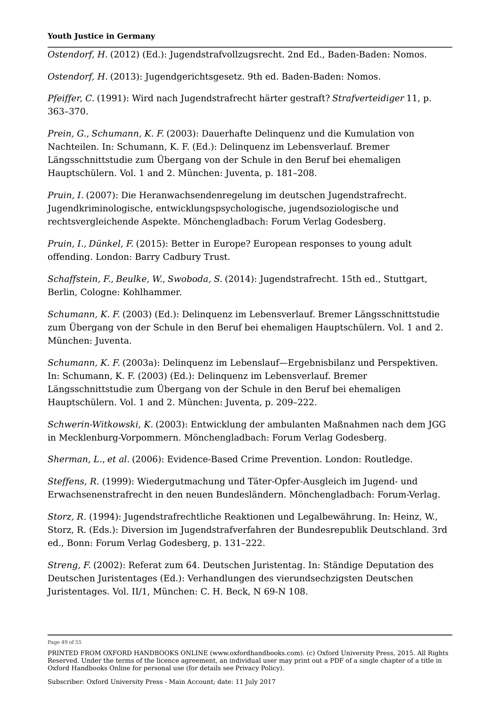*Ostendorf, H.* (2012) (Ed.): Jugendstrafvollzugsrecht. 2nd Ed., Baden-Baden: Nomos.

*Ostendorf, H.* (2013): Jugendgerichtsgesetz. 9th ed. Baden-Baden: Nomos.

*Pfeiffer, C.* (1991): Wird nach Jugendstrafrecht härter gestraft? *Strafverteidiger* 11, p. 363–370.

*Prein, G.*, *Schumann, K. F.* (2003): Dauerhafte Delinquenz und die Kumulation von Nachteilen. In: Schumann, K. F. (Ed.): Delinquenz im Lebensverlauf. Bremer Längsschnittstudie zum Übergang von der Schule in den Beruf bei ehemaligen Hauptschülern. Vol. 1 and 2. München: Juventa, p. 181–208.

*Pruin, I.* (2007): Die Heranwachsendenregelung im deutschen Jugendstrafrecht. Jugendkriminologische, entwicklungspsychologische, jugendsoziologische und rechtsvergleichende Aspekte. Mönchengladbach: Forum Verlag Godesberg.

*Pruin, I.*, *Dünkel, F.* (2015): Better in Europe? European responses to young adult offending. London: Barry Cadbury Trust.

*Schaffstein, F.*, *Beulke, W.*, *Swoboda, S.* (2014): Jugendstrafrecht. 15th ed., Stuttgart, Berlin, Cologne: Kohlhammer.

*Schumann, K. F.* (2003) (Ed.): Delinquenz im Lebensverlauf. Bremer Längsschnittstudie zum Übergang von der Schule in den Beruf bei ehemaligen Hauptschülern. Vol. 1 and 2. München: Juventa.

*Schumann, K. F.* (2003a): Delinquenz im Lebenslauf—Ergebnisbilanz und Perspektiven. In: Schumann, K. F. (2003) (Ed.): Delinquenz im Lebensverlauf. Bremer Längsschnittstudie zum Übergang von der Schule in den Beruf bei ehemaligen Hauptschülern. Vol. 1 and 2. München: Juventa, p. 209–222.

*Schwerin-Witkowski, K.* (2003): Entwicklung der ambulanten Maßnahmen nach dem JGG in Mecklenburg-Vorpommern. Mönchengladbach: Forum Verlag Godesberg.

*Sherman, L.*, *et al.* (2006): Evidence-Based Crime Prevention. London: Routledge.

*Steffens, R*. (1999): Wiedergutmachung und Täter-Opfer-Ausgleich im Jugend- und Erwachsenenstrafrecht in den neuen Bundesländern. Mönchengladbach: Forum-Verlag.

*Storz, R*. (1994): Jugendstrafrechtliche Reaktionen und Legalbewährung. In: Heinz, W., Storz, R. (Eds.): Diversion im Jugendstrafverfahren der Bundesrepublik Deutschland. 3rd ed., Bonn: Forum Verlag Godesberg, p. 131–222.

*Streng, F.* (2002): Referat zum 64. Deutschen Juristentag. In: Ständige Deputation des Deutschen Juristentages (Ed.): Verhandlungen des vierundsechzigsten Deutschen Juristentages. Vol. II/1, München: C. H. Beck, N 69-N 108.

Page 49 of 55

PRINTED FROM OXFORD HANDBOOKS ONLINE (www.oxfordhandbooks.com). (c) Oxford University Press, 2015. All Rights Reserved. Under the terms of the licence agreement, an individual user may print out a PDF of a single chapter of a title in Oxford Handbooks Online for personal use (for details see Privacy Policy).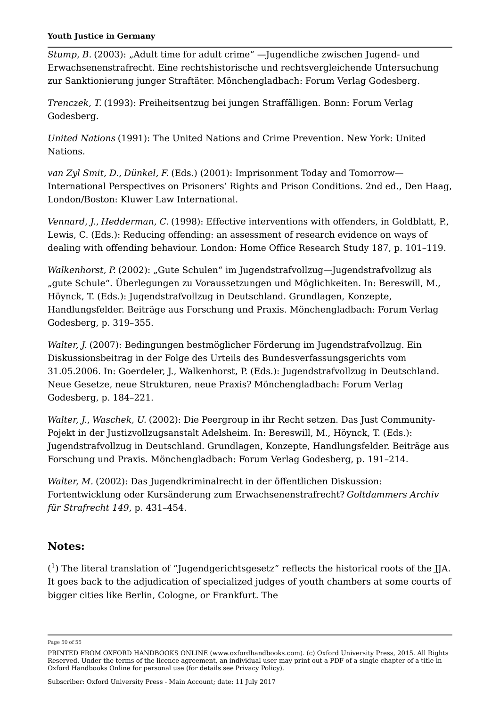*Stump, B.* (2003): "Adult time for adult crime" —Jugendliche zwischen Jugend- und Erwachsenenstrafrecht. Eine rechtshistorische und rechtsvergleichende Untersuchung zur Sanktionierung junger Straftäter. Mönchengladbach: Forum Verlag Godesberg.

*Trenczek, T.* (1993): Freiheitsentzug bei jungen Straffälligen. Bonn: Forum Verlag Godesberg.

*United Nations* (1991): The United Nations and Crime Prevention. New York: United Nations.

*van Zyl Smit, D.*, *Dünkel, F.* (Eds.) (2001): Imprisonment Today and Tomorrow— International Perspectives on Prisoners' Rights and Prison Conditions. 2nd ed., Den Haag, London/Boston: Kluwer Law International.

*Vennard, J.*, *Hedderman, C.* (1998): Effective interventions with offenders, in Goldblatt, P., Lewis, C. (Eds.): Reducing offending: an assessment of research evidence on ways of dealing with offending behaviour. London: Home Office Research Study 187, p. 101–119.

*Walkenhorst, P.* (2002): "Gute Schulen" im Jugendstrafvollzug—Jugendstrafvollzug als "gute Schule". Überlegungen zu Voraussetzungen und Möglichkeiten. In: Bereswill, M., Höynck, T. (Eds.): Jugendstrafvollzug in Deutschland. Grundlagen, Konzepte, Handlungsfelder. Beiträge aus Forschung und Praxis. Mönchengladbach: Forum Verlag Godesberg, p. 319–355.

*Walter, J.* (2007): Bedingungen bestmöglicher Förderung im Jugendstrafvollzug. Ein Diskussionsbeitrag in der Folge des Urteils des Bundesverfassungsgerichts vom 31.05.2006. In: Goerdeler, J., Walkenhorst, P. (Eds.): Jugendstrafvollzug in Deutschland. Neue Gesetze, neue Strukturen, neue Praxis? Mönchengladbach: Forum Verlag Godesberg, p. 184–221.

*Walter, J.*, *Waschek, U.* (2002): Die Peergroup in ihr Recht setzen. Das Just Community-Pojekt in der Justizvollzugsanstalt Adelsheim. In: Bereswill, M., Höynck, T. (Eds.): Jugendstrafvollzug in Deutschland. Grundlagen, Konzepte, Handlungsfelder. Beiträge aus Forschung und Praxis. Mönchengladbach: Forum Verlag Godesberg, p. 191–214.

*Walter, M.* (2002): Das Jugendkriminalrecht in der öffentlichen Diskussion: Fortentwicklung oder Kursänderung zum Erwachsenenstrafrecht? *Goltdammers Archiv für Strafrecht 149*, p. 431–454.

## **Notes:**

 $(^1)$  The literal translation of "Jugendgerichtsgesetz" reflects the historical roots of the JJA. It goes back to the adjudication of specialized judges of youth chambers at some courts of bigger cities like Berlin, Cologne, or Frankfurt. The

Page 50 of 55

PRINTED FROM OXFORD HANDBOOKS ONLINE (www.oxfordhandbooks.com). (c) Oxford University Press, 2015. All Rights Reserved. Under the terms of the licence agreement, an individual user may print out a PDF of a single chapter of a title in Oxford Handbooks Online for personal use (for details see Privacy Policy).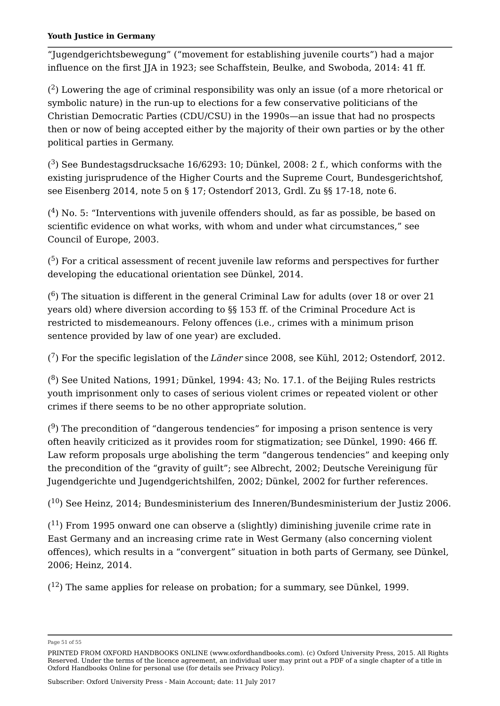"Jugendgerichtsbewegung" ("movement for establishing juvenile courts") had a major influence on the first JJA in 1923; see Schaffstein, Beulke, and Swoboda, 2014: 41 ff.

 $(^2)$  Lowering the age of criminal responsibility was only an issue (of a more rhetorical or symbolic nature) in the run-up to elections for a few conservative politicians of the Christian Democratic Parties (CDU/CSU) in the 1990s—an issue that had no prospects then or now of being accepted either by the majority of their own parties or by the other political parties in Germany.

 $(3)$  See Bundestagsdrucksache 16/6293: 10; Dünkel, 2008: 2 f., which conforms with the existing jurisprudence of the Higher Courts and the Supreme Court, Bundesgerichtshof, see Eisenberg 2014, note 5 on § 17; Ostendorf 2013, Grdl. Zu §§ 17-18, note 6.

 $( ^4)$  No. 5: "Interventions with juvenile offenders should, as far as possible, be based on scientific evidence on what works, with whom and under what circumstances," see Council of Europe, 2003.

 $(5)$  For a critical assessment of recent juvenile law reforms and perspectives for further developing the educational orientation see Dünkel, 2014.

( $^6$ ) The situation is different in the general Criminal Law for adults (over 18 or over 21  $\,$ years old) where diversion according to §§ 153 ff. of the Criminal Procedure Act is restricted to misdemeanours. Felony offences (i.e., crimes with a minimum prison sentence provided by law of one year) are excluded.

( ) For the specific legislation of the *Länder* since 2008, see Kühl, 2012; Ostendorf, 2012. 7

 $(^8)$  See United Nations, 1991; Dünkel, 1994: 43; No. 17.1. of the Beijing Rules restricts youth imprisonment only to cases of serious violent crimes or repeated violent or other crimes if there seems to be no other appropriate solution.

 $( \raisebox{1ex}{\scriptsize o})$  The precondition of "dangerous tendencies" for imposing a prison sentence is very often heavily criticized as it provides room for stigmatization; see Dünkel, 1990: 466 ff. Law reform proposals urge abolishing the term "dangerous tendencies" and keeping only the precondition of the "gravity of guilt"; see Albrecht, 2002; Deutsche Vereinigung für Jugendgerichte und Jugendgerichtshilfen, 2002; Dünkel, 2002 for further references.

 $\rm (^{10})$  See Heinz, 2014; Bundesministerium des Inneren/Bundesministerium der Justiz 2006.

 $(^{11})$  From 1995 onward one can observe a (slightly) diminishing juvenile crime rate in East Germany and an increasing crime rate in West Germany (also concerning violent offences), which results in a "convergent" situation in both parts of Germany, see Dünkel, 2006; Heinz, 2014.

 $(^{12})$  The same applies for release on probation; for a summary, see Dünkel, 1999.

Page 51 of 55

PRINTED FROM OXFORD HANDBOOKS ONLINE (www.oxfordhandbooks.com). (c) Oxford University Press, 2015. All Rights Reserved. Under the terms of the licence agreement, an individual user may print out a PDF of a single chapter of a title in Oxford Handbooks Online for personal use (for details see Privacy Policy).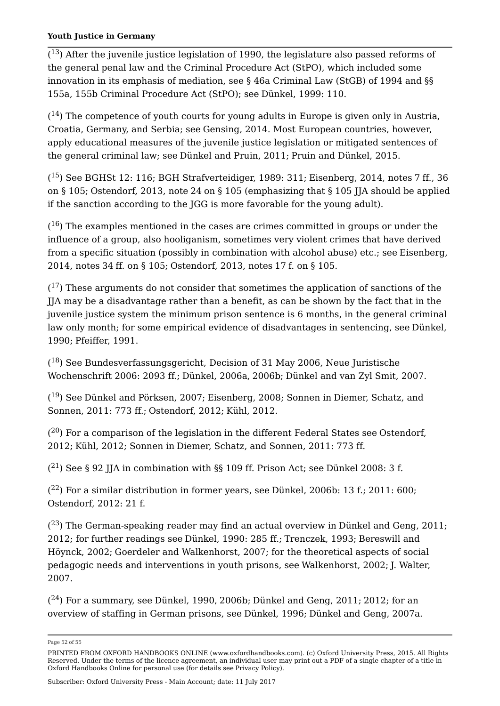$(^{13})$  After the juvenile justice legislation of 1990, the legislature also passed reforms of the general penal law and the Criminal Procedure Act (StPO), which included some innovation in its emphasis of mediation, see § 46a Criminal Law (StGB) of 1994 and §§ 155a, 155b Criminal Procedure Act (StPO); see Dünkel, 1999: 110.

 $(^{14})$  The competence of youth courts for young adults in Europe is given only in Austria, Croatia, Germany, and Serbia; see Gensing, 2014. Most European countries, however, apply educational measures of the juvenile justice legislation or mitigated sentences of the general criminal law; see Dünkel and Pruin, 2011; Pruin and Dünkel, 2015.

(<sup>15</sup>) See BGHSt 12: 116; BGH Strafverteidiger, 1989: 311; Eisenberg, 2014, notes 7 ff., 36 on § 105; Ostendorf, 2013, note 24 on § 105 (emphasizing that § 105 JJA should be applied if the sanction according to the JGG is more favorable for the young adult).

 $(^{16})$  The examples mentioned in the cases are crimes committed in groups or under the influence of a group, also hooliganism, sometimes very violent crimes that have derived from a specific situation (possibly in combination with alcohol abuse) etc.; see Eisenberg, 2014, notes 34 ff. on § 105; Ostendorf, 2013, notes 17 f. on § 105.

 $(^{17})$  These arguments do not consider that sometimes the application of sanctions of the JJA may be a disadvantage rather than a benefit, as can be shown by the fact that in the juvenile justice system the minimum prison sentence is 6 months, in the general criminal law only month; for some empirical evidence of disadvantages in sentencing, see Dünkel, 1990; Pfeiffer, 1991.

 $(^{18})$  See Bundesverfassungsgericht, Decision of 31 May 2006, Neue Juristische Wochenschrift 2006: 2093 ff.; Dünkel, 2006a, 2006b; Dünkel and van Zyl Smit, 2007.

 $(^{19})$  See Dünkel and Pörksen, 2007; Eisenberg, 2008; Sonnen in Diemer, Schatz, and Sonnen, 2011: 773 ff.; Ostendorf, 2012; Kühl, 2012.

 $( ^{20} )$  For a comparison of the legislation in the different Federal States see Ostendorf, 2012; Kühl, 2012; Sonnen in Diemer, Schatz, and Sonnen, 2011: 773 ff.

 $(^{21})$  See § 92 JJA in combination with §§ 109 ff. Prison Act; see Dünkel 2008: 3 f.

 $(^{22})$  For a similar distribution in former years, see Dünkel, 2006b: 13 f.; 2011: 600; Ostendorf, 2012: 21 f.

 $(^{23})$  The German-speaking reader may find an actual overview in Dünkel and Geng, 2011; 2012; for further readings see Dünkel, 1990: 285 ff.; Trenczek, 1993; Bereswill and Höynck, 2002; Goerdeler and Walkenhorst, 2007; for the theoretical aspects of social pedagogic needs and interventions in youth prisons, see Walkenhorst, 2002; J. Walter, 2007.

 $( ^{24})$  For a summary, see Dünkel, 1990, 2006b; Dünkel and Geng, 2011; 2012; for an overview of staffing in German prisons, see Dünkel, 1996; Dünkel and Geng, 2007a.

Page 52 of 55

PRINTED FROM OXFORD HANDBOOKS ONLINE (www.oxfordhandbooks.com). (c) Oxford University Press, 2015. All Rights Reserved. Under the terms of the licence agreement, an individual user may print out a PDF of a single chapter of a title in Oxford Handbooks Online for personal use (for details see Privacy Policy).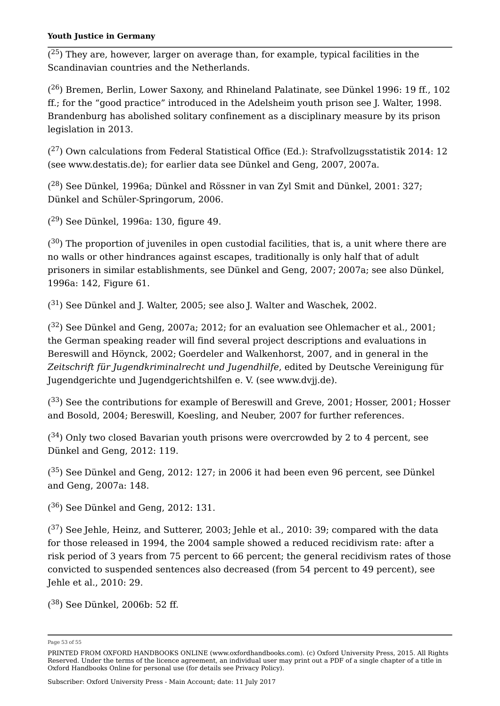$(^{25})$  They are, however, larger on average than, for example, typical facilities in the Scandinavian countries and the Netherlands.

 $( ^{26})$  Bremen, Berlin, Lower Saxony, and Rhineland Palatinate, see Dünkel 1996: 19 ff., 102 ff.; for the "good practice" introduced in the Adelsheim youth prison see J. Walter, 1998. Brandenburg has abolished solitary confinement as a disciplinary measure by its prison legislation in 2013.

 $(^{27})$  Own calculations from Federal Statistical Office (Ed.): Strafvollzugsstatistik 2014: 12 (see www.destatis.de); for earlier data see Dünkel and Geng, 2007, 2007a.

 $( ^{28})$  See Dünkel, 1996a; Dünkel and Rössner in van Zyl Smit and Dünkel, 2001: 327; Dünkel and Schüler-Springorum, 2006.

 $( ^{29} )$  See Dünkel, 1996a: 130, figure 49.

 $( ^{30} )$  The proportion of juveniles in open custodial facilities, that is, a unit where there are no walls or other hindrances against escapes, traditionally is only half that of adult prisoners in similar establishments, see Dünkel and Geng, 2007; 2007a; see also Dünkel, 1996a: 142, Figure 61.

 $(31)$  See Dünkel and J. Walter, 2005; see also J. Walter and Waschek, 2002.

 $(32)$  See Dünkel and Geng, 2007a; 2012; for an evaluation see Ohlemacher et al., 2001; the German speaking reader will find several project descriptions and evaluations in Bereswill and Höynck, 2002; Goerdeler and Walkenhorst, 2007, and in general in the *Zeitschrift für Jugendkriminalrecht und Jugendhilfe*, edited by Deutsche Vereinigung für Jugendgerichte und Jugendgerichtshilfen e. V. (see www.dvjj.de).

 $( ^{33})$  See the contributions for example of Bereswill and Greve, 2001; Hosser, 2001; Hosser and Bosold, 2004; Bereswill, Koesling, and Neuber, 2007 for further references.

 $(34)$  Only two closed Bavarian youth prisons were overcrowded by 2 to 4 percent, see Dünkel and Geng, 2012: 119.

 $( ^{35})$  See Dünkel and Geng, 2012: 127; in 2006 it had been even 96 percent, see Dünkel and Geng, 2007a: 148.

 $(36)$  See Dünkel and Geng, 2012: 131.

 $(37)$  See Jehle, Heinz, and Sutterer, 2003; Jehle et al., 2010: 39; compared with the data for those released in 1994, the 2004 sample showed a reduced recidivism rate: after a risk period of 3 years from 75 percent to 66 percent; the general recidivism rates of those convicted to suspended sentences also decreased (from 54 percent to 49 percent), see Jehle et al., 2010: 29.

 $(38)$  See Dünkel, 2006b: 52 ff.

Subscriber: Oxford University Press - Main Account; date: 11 July 2017

Page 53 of 55

PRINTED FROM OXFORD HANDBOOKS ONLINE (www.oxfordhandbooks.com). (c) Oxford University Press, 2015. All Rights Reserved. Under the terms of the licence agreement, an individual user may print out a PDF of a single chapter of a title in Oxford Handbooks Online for personal use (for details see Privacy Policy).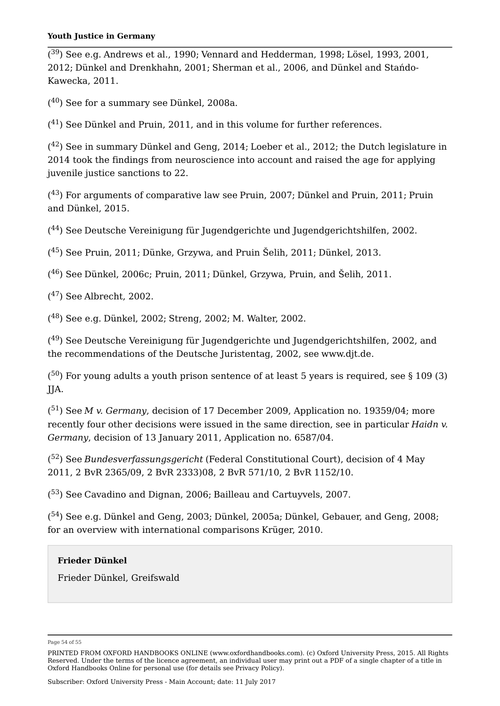$( ^{39} )$  See e.g. Andrews et al., 1990; Vennard and Hedderman, 1998; Lösel, 1993, 2001, 2012; Dünkel and Drenkhahn, 2001; Sherman et al., 2006, and Dünkel and Stańdo-Kawecka, 2011.

 $( ^{40} )$  See for a summary see Dünkel, 2008a.

 $(41)$  See Dünkel and Pruin, 2011, and in this volume for further references.

 $( ^{42})$  See in summary Dünkel and Geng, 2014; Loeber et al., 2012; the Dutch legislature in 2014 took the findings from neuroscience into account and raised the age for applying juvenile justice sanctions to 22.

 $( ^{43})$  For arguments of comparative law see Pruin, 2007; Dünkel and Pruin, 2011; Pruin and Dünkel, 2015.

 $( ^{44} )$  See Deutsche Vereinigung für Jugendgerichte und Jugendgerichtshilfen, 2002.

 $(^{45})$  See Pruin, 2011; Dünke, Grzywa, and Pruin Šelih, 2011; Dünkel, 2013.

 $( ^{46})$  See Dünkel, 2006c; Pruin, 2011; Dünkel, Grzywa, Pruin, and Šelih, 2011.

 $(47)$  See Albrecht, 2002.

( $^{48}$ ) See e.g. Dünkel, 2002; Streng, 2002; M. Walter, 2002.

 $( ^{49} )$  See Deutsche Vereinigung für Jugendgerichte und Jugendgerichtshilfen, 2002, and the recommendations of the Deutsche Juristentag, 2002, see www.djt.de.

( $^{50}$ ) For young adults a youth prison sentence of at least 5 years is required, see § 109 (3) JJA.

(<sup>51</sup>) See *M v. Germany,* decision of 17 December 2009, Application no. 19359/04; more recently four other decisions were issued in the same direction, see in particular *Haidn v. Germany*, decision of 13 January 2011, Application no. 6587/04.

(<sup>52</sup>) See *Bundesverfassungsgericht* (Federal Constitutional Court), decision of 4 May 2011, 2 BvR 2365/09, 2 BvR 2333)08, 2 BvR 571/10, 2 BvR 1152/10.

 $( ^{53})$  See Cavadino and Dignan, 2006; Bailleau and Cartuyvels, 2007.  $\,$ 

( $^{54}$ ) See e.g. Dünkel and Geng, 2003; Dünkel, 2005a; Dünkel, Gebauer, and Geng, 2008; for an overview with international comparisons Krüger, 2010.

## **Frieder Dünkel**

Frieder Dünkel, Greifswald

Page 54 of 55

PRINTED FROM OXFORD HANDBOOKS ONLINE (www.oxfordhandbooks.com). (c) Oxford University Press, 2015. All Rights Reserved. Under the terms of the licence agreement, an individual user may print out a PDF of a single chapter of a title in Oxford Handbooks Online for personal use (for details see Privacy Policy).